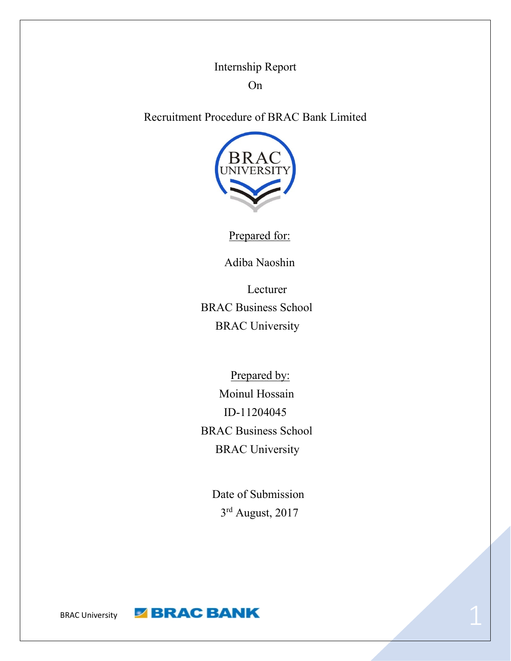Internship Report On

Recruitment Procedure of BRAC Bank Limited



Prepared for:

Adiba Naoshin

 Lecturer BRAC Business School BRAC University

Prepared by: Moinul Hossain ID-11204045 BRAC Business School BRAC University

Date of Submission 3<sup>rd</sup> August, 2017

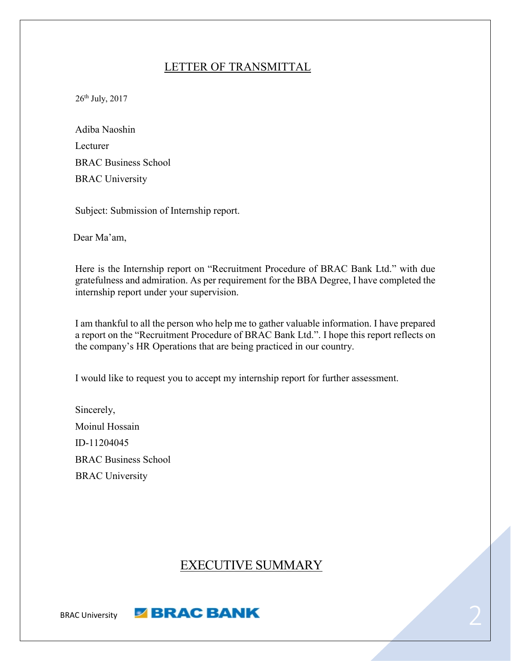#### LETTER OF TRANSMITTAL

 $26<sup>th</sup>$  July,  $2017$ 

| Adiba Naoshin               |
|-----------------------------|
| Lecturer                    |
| <b>BRAC Business School</b> |
| <b>BRAC University</b>      |

Subject: Submission of Internship report.

Dear Ma'am,

Here is the Internship report on "Recruitment Procedure of BRAC Bank Ltd." with due gratefulness and admiration. As per requirement for the BBA Degree, I have completed the internship report under your supervision.

I am thankful to all the person who help me to gather valuable information. I have prepared a report on the "Recruitment Procedure of BRAC Bank Ltd.". I hope this report reflects on the company's HR Operations that are being practiced in our country.

I would like to request you to accept my internship report for further assessment.

Sincerely, Moinul Hossain ID-11204045 BRAC Business School BRAC University

### EXECUTIVE SUMMARY

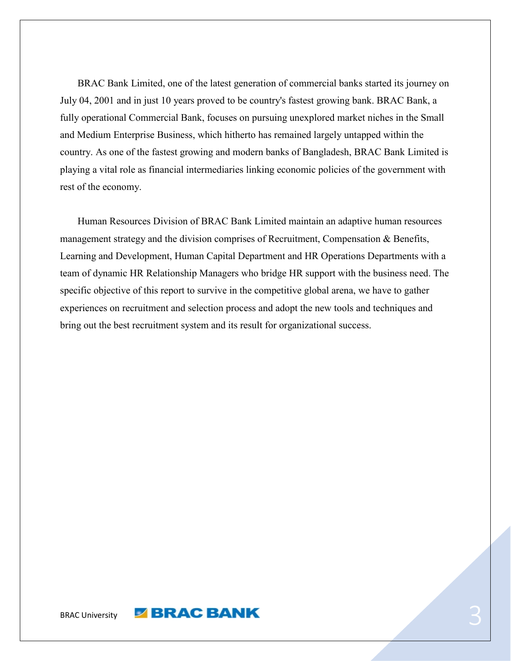BRAC Bank Limited, one of the latest generation of commercial banks started its journey on July 04, 2001 and in just 10 years proved to be country's fastest growing bank. BRAC Bank, a fully operational Commercial Bank, focuses on pursuing unexplored market niches in the Small and Medium Enterprise Business, which hitherto has remained largely untapped within the country. As one of the fastest growing and modern banks of Bangladesh, BRAC Bank Limited is playing a vital role as financial intermediaries linking economic policies of the government with rest of the economy.

 Human Resources Division of BRAC Bank Limited maintain an adaptive human resources management strategy and the division comprises of Recruitment, Compensation & Benefits, Learning and Development, Human Capital Department and HR Operations Departments with a team of dynamic HR Relationship Managers who bridge HR support with the business need. The specific objective of this report to survive in the competitive global arena, we have to gather experiences on recruitment and selection process and adopt the new tools and techniques and bring out the best recruitment system and its result for organizational success.

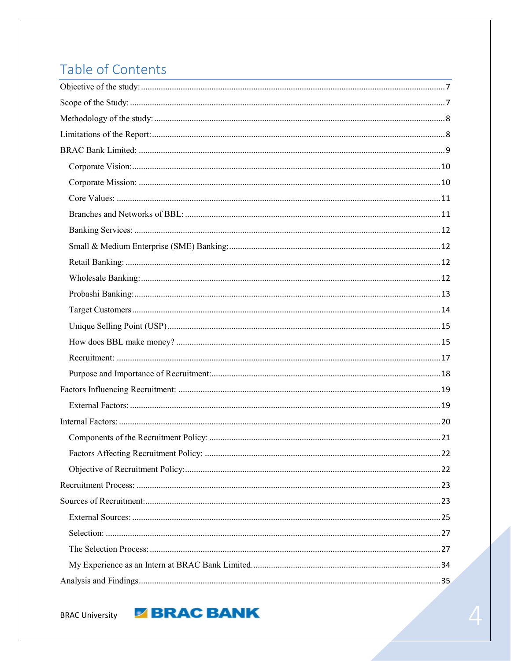# Table of Contents

**BRAC University** 

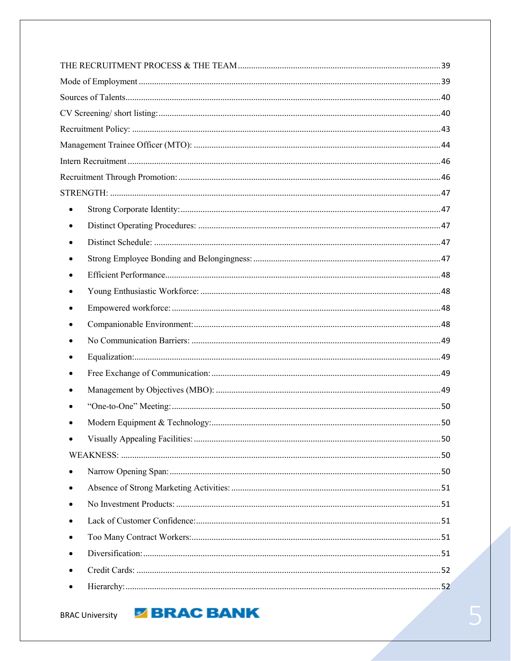| $\bullet$ |  |
|-----------|--|
| $\bullet$ |  |
|           |  |
|           |  |
|           |  |
|           |  |
|           |  |
|           |  |
|           |  |
|           |  |
|           |  |
|           |  |
|           |  |
|           |  |
|           |  |
|           |  |
| ٠         |  |
| $\bullet$ |  |
|           |  |
|           |  |
|           |  |
|           |  |
|           |  |
|           |  |

**BRAC University** 

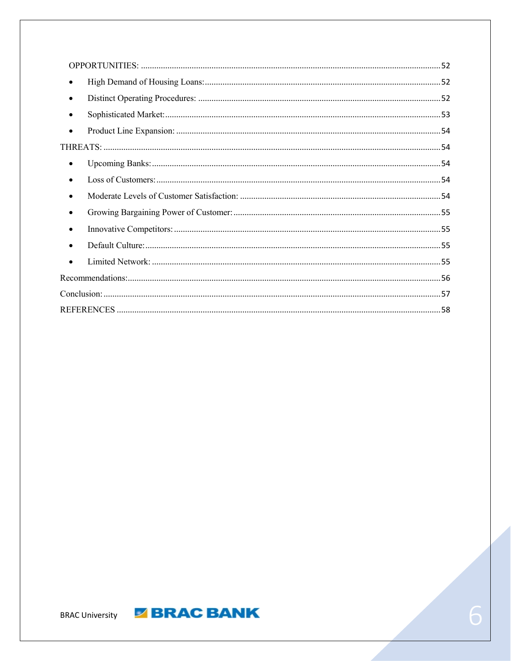| $\bullet$ |  |
|-----------|--|
| $\bullet$ |  |
| $\bullet$ |  |
| $\bullet$ |  |
|           |  |
| ٠         |  |
|           |  |
| $\bullet$ |  |
| $\bullet$ |  |
|           |  |
| $\bullet$ |  |
| $\bullet$ |  |
|           |  |
|           |  |
|           |  |



**E BRAC BANK**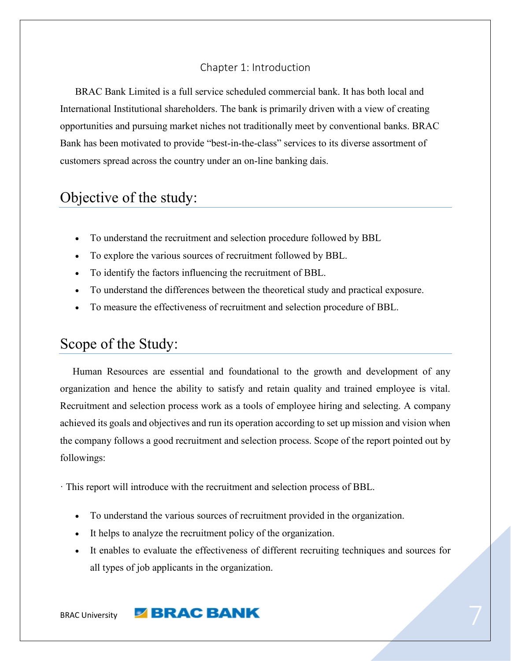#### Chapter 1: Introduction

 BRAC Bank Limited is a full service scheduled commercial bank. It has both local and International Institutional shareholders. The bank is primarily driven with a view of creating opportunities and pursuing market niches not traditionally meet by conventional banks. BRAC Bank has been motivated to provide "best-in-the-class" services to its diverse assortment of customers spread across the country under an on-line banking dais.

# <span id="page-6-0"></span>Objective of the study:

- To understand the recruitment and selection procedure followed by BBL
- To explore the various sources of recruitment followed by BBL.
- To identify the factors influencing the recruitment of BBL.
- To understand the differences between the theoretical study and practical exposure.
- To measure the effectiveness of recruitment and selection procedure of BBL.

### <span id="page-6-1"></span>Scope of the Study:

 Human Resources are essential and foundational to the growth and development of any organization and hence the ability to satisfy and retain quality and trained employee is vital. Recruitment and selection process work as a tools of employee hiring and selecting. A company achieved its goals and objectives and run its operation according to set up mission and vision when the company follows a good recruitment and selection process. Scope of the report pointed out by followings:

· This report will introduce with the recruitment and selection process of BBL.

- To understand the various sources of recruitment provided in the organization.
- It helps to analyze the recruitment policy of the organization.
- It enables to evaluate the effectiveness of different recruiting techniques and sources for all types of job applicants in the organization.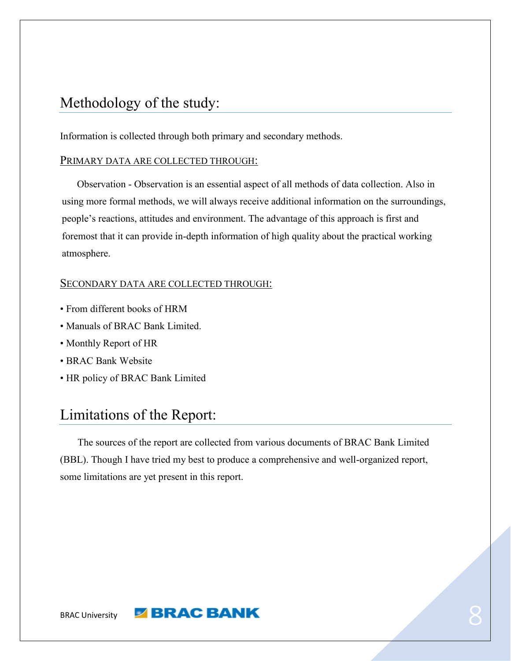# <span id="page-7-0"></span>Methodology of the study:

Information is collected through both primary and secondary methods.

#### PRIMARY DATA ARE COLLECTED THROUGH:

 Observation - Observation is an essential aspect of all methods of data collection. Also in using more formal methods, we will always receive additional information on the surroundings, people's reactions, attitudes and environment. The advantage of this approach is first and foremost that it can provide in-depth information of high quality about the practical working atmosphere.

#### SECONDARY DATA ARE COLLECTED THROUGH:

- From different books of HRM
- Manuals of BRAC Bank Limited.
- Monthly Report of HR
- BRAC Bank Website
- <span id="page-7-1"></span>• HR policy of BRAC Bank Limited

# Limitations of the Report:

 The sources of the report are collected from various documents of BRAC Bank Limited (BBL). Though I have tried my best to produce a comprehensive and well-organized report, some limitations are yet present in this report.

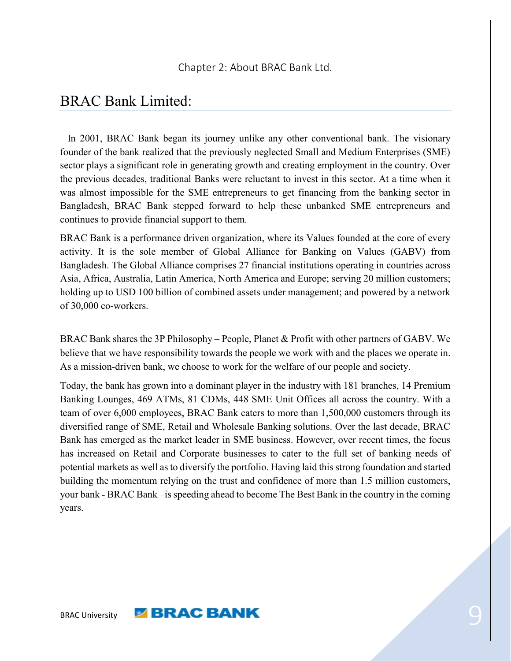## <span id="page-8-0"></span>BRAC Bank Limited:

 In 2001, BRAC Bank began its journey unlike any other conventional bank. The visionary founder of the bank realized that the previously neglected Small and Medium Enterprises (SME) sector plays a significant role in generating growth and creating employment in the country. Over the previous decades, traditional Banks were reluctant to invest in this sector. At a time when it was almost impossible for the SME entrepreneurs to get financing from the banking sector in Bangladesh, BRAC Bank stepped forward to help these unbanked SME entrepreneurs and continues to provide financial support to them.

BRAC Bank is a performance driven organization, where its Values founded at the core of every activity. It is the sole member of Global Alliance for Banking on Values (GABV) from Bangladesh. The Global Alliance comprises 27 financial institutions operating in countries across Asia, Africa, Australia, Latin America, North America and Europe; serving 20 million customers; holding up to USD 100 billion of combined assets under management; and powered by a network of 30,000 co-workers.

BRAC Bank shares the 3P Philosophy – People, Planet & Profit with other partners of GABV. We believe that we have responsibility towards the people we work with and the places we operate in. As a mission-driven bank, we choose to work for the welfare of our people and society.

Today, the bank has grown into a dominant player in the industry with 181 branches, 14 Premium Banking Lounges, 469 ATMs, 81 CDMs, 448 SME Unit Offices all across the country. With a team of over 6,000 employees, BRAC Bank caters to more than 1,500,000 customers through its diversified range of SME, Retail and Wholesale Banking solutions. Over the last decade, BRAC Bank has emerged as the market leader in SME business. However, over recent times, the focus has increased on Retail and Corporate businesses to cater to the full set of banking needs of potential markets as well as to diversify the portfolio. Having laid this strong foundation and started building the momentum relying on the trust and confidence of more than 1.5 million customers, your bank - BRAC Bank –is speeding ahead to become The Best Bank in the country in the coming years.

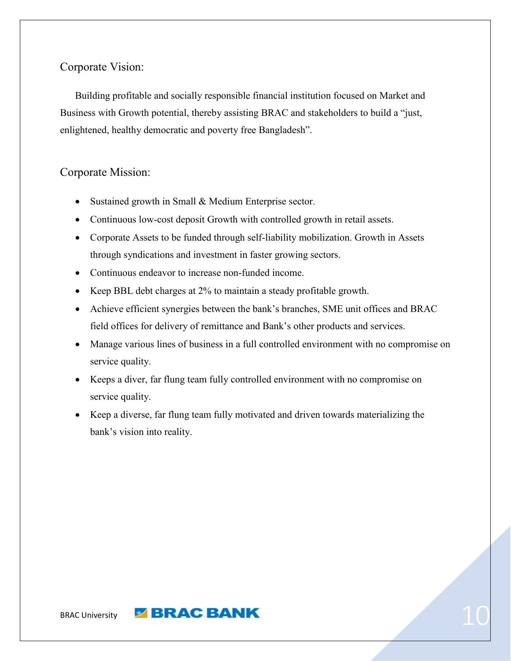#### <span id="page-9-0"></span>Corporate Vision:

 Building profitable and socially responsible financial institution focused on Market and Business with Growth potential, thereby assisting BRAC and stakeholders to build a "just, enlightened, healthy democratic and poverty free Bangladesh".

#### <span id="page-9-1"></span>Corporate Mission:

- Sustained growth in Small & Medium Enterprise sector.
- Continuous low-cost deposit Growth with controlled growth in retail assets.
- Corporate Assets to be funded through self-liability mobilization. Growth in Assets through syndications and investment in faster growing sectors.
- Continuous endeavor to increase non-funded income.
- Keep BBL debt charges at 2% to maintain a steady profitable growth.
- Achieve efficient synergies between the bank's branches, SME unit offices and BRAC field offices for delivery of remittance and Bank's other products and services.
- Manage various lines of business in a full controlled environment with no compromise on service quality.
- Keeps a diver, far flung team fully controlled environment with no compromise on service quality.
- Keep a diverse, far flung team fully motivated and driven towards materializing the bank's vision into reality.

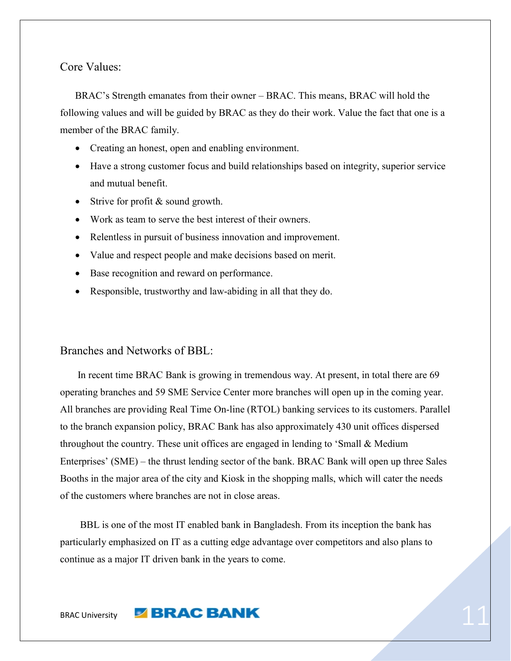<span id="page-10-0"></span>Core Values:

 BRAC's Strength emanates from their owner – BRAC. This means, BRAC will hold the following values and will be guided by BRAC as they do their work. Value the fact that one is a member of the BRAC family.

- Creating an honest, open and enabling environment.
- Have a strong customer focus and build relationships based on integrity, superior service and mutual benefit.
- Strive for profit & sound growth.
- Work as team to serve the best interest of their owners.
- Relentless in pursuit of business innovation and improvement.
- Value and respect people and make decisions based on merit.
- Base recognition and reward on performance.
- Responsible, trustworthy and law-abiding in all that they do.

#### <span id="page-10-1"></span>Branches and Networks of BBL:

 In recent time BRAC Bank is growing in tremendous way. At present, in total there are 69 operating branches and 59 SME Service Center more branches will open up in the coming year. All branches are providing Real Time On-line (RTOL) banking services to its customers. Parallel to the branch expansion policy, BRAC Bank has also approximately 430 unit offices dispersed throughout the country. These unit offices are engaged in lending to 'Small & Medium Enterprises' (SME) – the thrust lending sector of the bank. BRAC Bank will open up three Sales Booths in the major area of the city and Kiosk in the shopping malls, which will cater the needs of the customers where branches are not in close areas.

 BBL is one of the most IT enabled bank in Bangladesh. From its inception the bank has particularly emphasized on IT as a cutting edge advantage over competitors and also plans to continue as a major IT driven bank in the years to come.

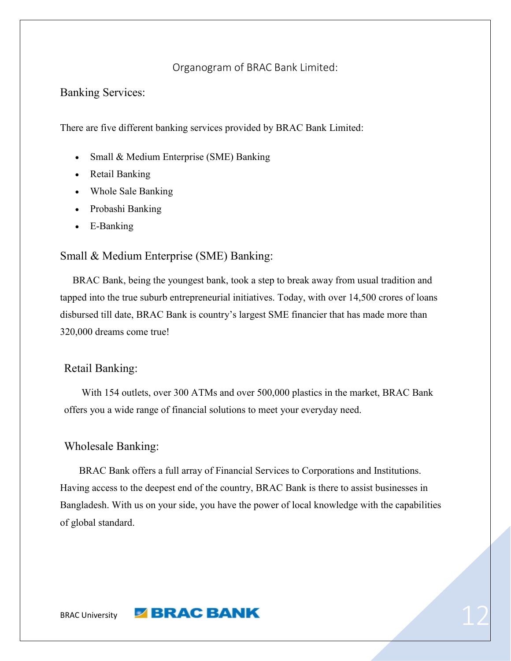#### Organogram of BRAC Bank Limited:

<span id="page-11-0"></span>Banking Services:

There are five different banking services provided by BRAC Bank Limited:

- Small & Medium Enterprise (SME) Banking
- Retail Banking
- Whole Sale Banking
- Probashi Banking
- E-Banking

#### <span id="page-11-1"></span>Small & Medium Enterprise (SME) Banking:

 BRAC Bank, being the youngest bank, took a step to break away from usual tradition and tapped into the true suburb entrepreneurial initiatives. Today, with over 14,500 crores of loans disbursed till date, BRAC Bank is country's largest SME financier that has made more than 320,000 dreams come true!

#### <span id="page-11-2"></span>Retail Banking:

 With 154 outlets, over 300 ATMs and over 500,000 plastics in the market, BRAC Bank offers you a wide range of financial solutions to meet your everyday need.

#### <span id="page-11-3"></span>Wholesale Banking:

 BRAC Bank offers a full array of Financial Services to Corporations and Institutions. Having access to the deepest end of the country, BRAC Bank is there to assist businesses in Bangladesh. With us on your side, you have the power of local knowledge with the capabilities of global standard.

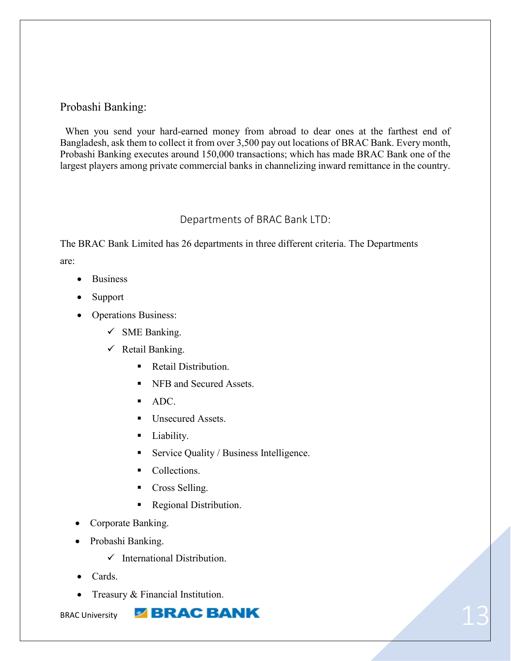#### <span id="page-12-0"></span>Probashi Banking:

 When you send your hard-earned money from abroad to dear ones at the farthest end of Bangladesh, ask them to collect it from over 3,500 pay out locations of BRAC Bank. Every month, Probashi Banking executes around 150,000 transactions; which has made BRAC Bank one of the largest players among private commercial banks in channelizing inward remittance in the country.

#### Departments of BRAC Bank LTD:

The BRAC Bank Limited has 26 departments in three different criteria. The Departments are:

- Business
- Support
- Operations Business:
	- $\checkmark$  SME Banking.
	- $\checkmark$  Retail Banking.
		- Retail Distribution.
		- NFB and Secured Assets.
		- ADC.
		- Unsecured Assets.
		- Liability.
		- Service Quality / Business Intelligence.
		- Collections.
		- Cross Selling.
		- Regional Distribution.
- Corporate Banking.
- Probashi Banking.
	- $\checkmark$  International Distribution
- Cards.
- Treasury & Financial Institution.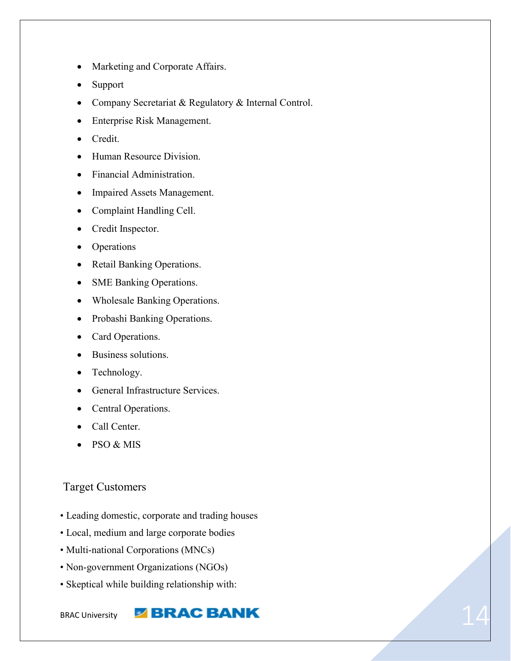- Marketing and Corporate Affairs.
- Support
- Company Secretariat & Regulatory & Internal Control.
- Enterprise Risk Management.
- Credit.
- Human Resource Division.
- Financial Administration.
- Impaired Assets Management.
- Complaint Handling Cell.
- Credit Inspector.
- Operations
- Retail Banking Operations.
- SME Banking Operations.
- Wholesale Banking Operations.
- Probashi Banking Operations.
- Card Operations.
- Business solutions.
- Technology.
- General Infrastructure Services.
- Central Operations.
- Call Center.
- $\bullet$  PSO & MIS

#### <span id="page-13-0"></span>Target Customers

- Leading domestic, corporate and trading houses
- Local, medium and large corporate bodies
- Multi-national Corporations (MNCs)
- Non-government Organizations (NGOs)
- Skeptical while building relationship with: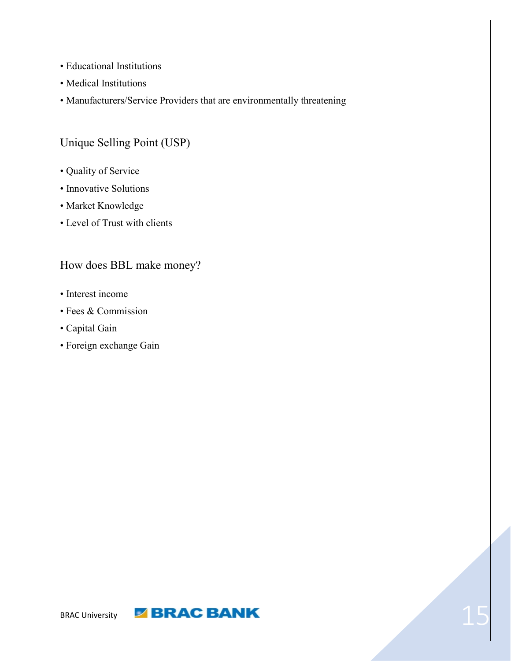- Educational Institutions
- Medical Institutions
- Manufacturers/Service Providers that are environmentally threatening

### <span id="page-14-0"></span>Unique Selling Point (USP)

- Quality of Service
- Innovative Solutions
- Market Knowledge
- Level of Trust with clients

#### <span id="page-14-1"></span>How does BBL make money?

- Interest income
- Fees & Commission
- Capital Gain
- Foreign exchange Gain

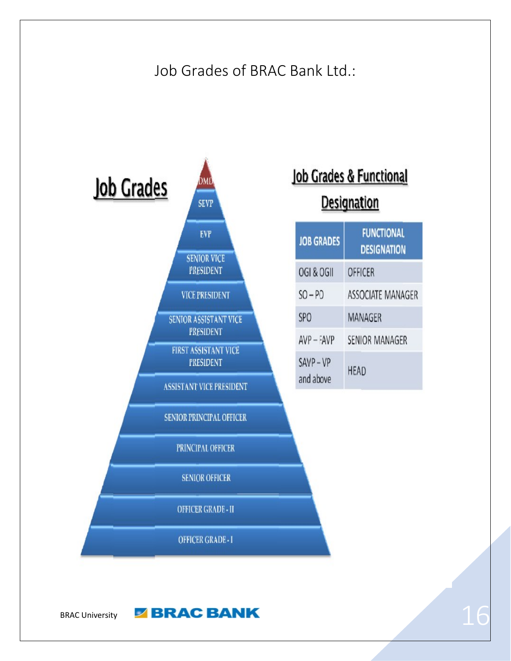# Job Grades of BRAC Bank Ltd.:

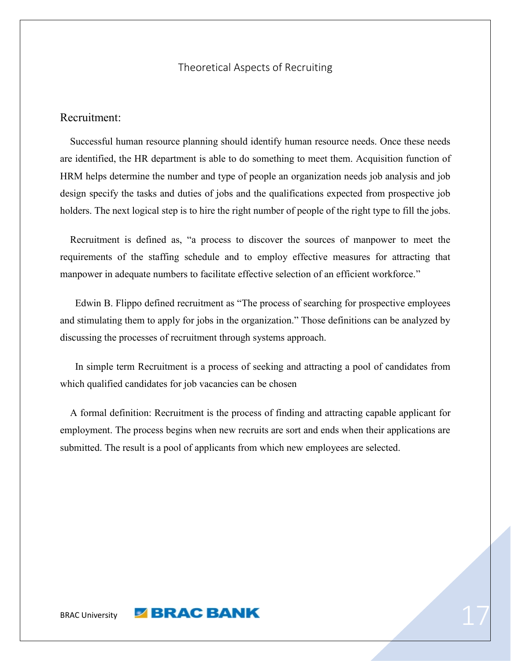#### Theoretical Aspects of Recruiting

#### <span id="page-16-0"></span>Recruitment:

 Successful human resource planning should identify human resource needs. Once these needs are identified, the HR department is able to do something to meet them. Acquisition function of HRM helps determine the number and type of people an organization needs job analysis and job design specify the tasks and duties of jobs and the qualifications expected from prospective job holders. The next logical step is to hire the right number of people of the right type to fill the jobs.

 Recruitment is defined as, "a process to discover the sources of manpower to meet the requirements of the staffing schedule and to employ effective measures for attracting that manpower in adequate numbers to facilitate effective selection of an efficient workforce."

 Edwin B. Flippo defined recruitment as "The process of searching for prospective employees and stimulating them to apply for jobs in the organization." Those definitions can be analyzed by discussing the processes of recruitment through systems approach.

 In simple term Recruitment is a process of seeking and attracting a pool of candidates from which qualified candidates for job vacancies can be chosen

 A formal definition: Recruitment is the process of finding and attracting capable applicant for employment. The process begins when new recruits are sort and ends when their applications are submitted. The result is a pool of applicants from which new employees are selected.

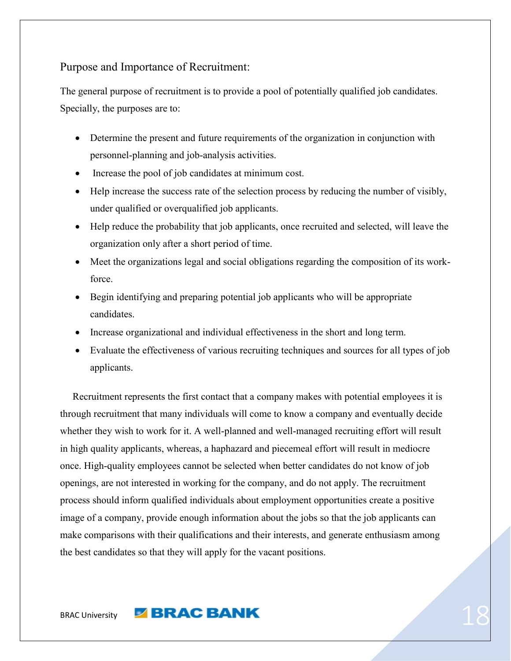<span id="page-17-0"></span>Purpose and Importance of Recruitment:

The general purpose of recruitment is to provide a pool of potentially qualified job candidates. Specially, the purposes are to:

- Determine the present and future requirements of the organization in conjunction with personnel-planning and job-analysis activities.
- Increase the pool of job candidates at minimum cost.
- Help increase the success rate of the selection process by reducing the number of visibly, under qualified or overqualified job applicants.
- Help reduce the probability that job applicants, once recruited and selected, will leave the organization only after a short period of time.
- Meet the organizations legal and social obligations regarding the composition of its workforce.
- Begin identifying and preparing potential job applicants who will be appropriate candidates.
- Increase organizational and individual effectiveness in the short and long term.
- Evaluate the effectiveness of various recruiting techniques and sources for all types of job applicants.

 Recruitment represents the first contact that a company makes with potential employees it is through recruitment that many individuals will come to know a company and eventually decide whether they wish to work for it. A well-planned and well-managed recruiting effort will result in high quality applicants, whereas, a haphazard and piecemeal effort will result in mediocre once. High-quality employees cannot be selected when better candidates do not know of job openings, are not interested in working for the company, and do not apply. The recruitment process should inform qualified individuals about employment opportunities create a positive image of a company, provide enough information about the jobs so that the job applicants can make comparisons with their qualifications and their interests, and generate enthusiasm among the best candidates so that they will apply for the vacant positions.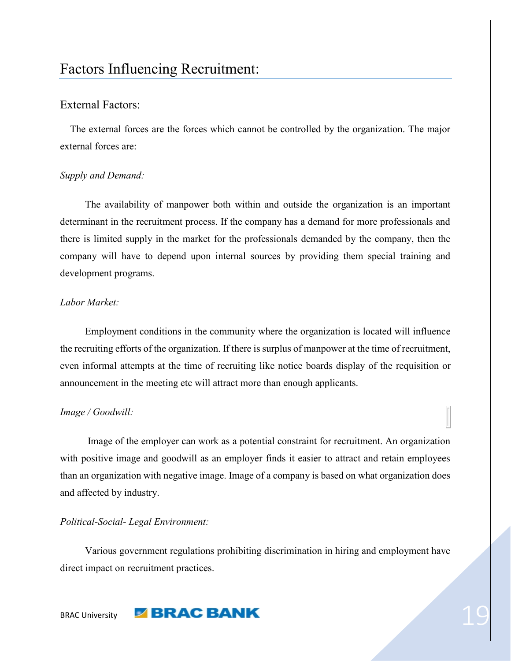# <span id="page-18-0"></span>Factors Influencing Recruitment:

#### <span id="page-18-1"></span>External Factors:

 The external forces are the forces which cannot be controlled by the organization. The major external forces are:

#### *Supply and Demand:*

The availability of manpower both within and outside the organization is an important determinant in the recruitment process. If the company has a demand for more professionals and there is limited supply in the market for the professionals demanded by the company, then the company will have to depend upon internal sources by providing them special training and development programs.

#### *Labor Market:*

Employment conditions in the community where the organization is located will influence the recruiting efforts of the organization. If there is surplus of manpower at the time of recruitment, even informal attempts at the time of recruiting like notice boards display of the requisition or announcement in the meeting etc will attract more than enough applicants.

#### *Image / Goodwill:*

 Image of the employer can work as a potential constraint for recruitment. An organization with positive image and goodwill as an employer finds it easier to attract and retain employees than an organization with negative image. Image of a company is based on what organization does and affected by industry.

#### *Political-Social- Legal Environment:*

Various government regulations prohibiting discrimination in hiring and employment have direct impact on recruitment practices.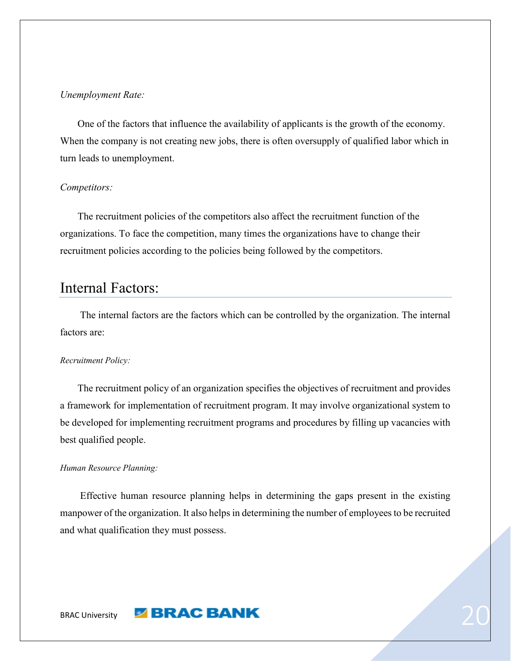#### *Unemployment Rate:*

 One of the factors that influence the availability of applicants is the growth of the economy. When the company is not creating new jobs, there is often oversupply of qualified labor which in turn leads to unemployment.

#### *Competitors:*

 The recruitment policies of the competitors also affect the recruitment function of the organizations. To face the competition, many times the organizations have to change their recruitment policies according to the policies being followed by the competitors.

# <span id="page-19-0"></span>Internal Factors:

 The internal factors are the factors which can be controlled by the organization. The internal factors are:

#### *Recruitment Policy:*

 The recruitment policy of an organization specifies the objectives of recruitment and provides a framework for implementation of recruitment program. It may involve organizational system to be developed for implementing recruitment programs and procedures by filling up vacancies with best qualified people.

#### *Human Resource Planning:*

 Effective human resource planning helps in determining the gaps present in the existing manpower of the organization. It also helps in determining the number of employees to be recruited and what qualification they must possess.

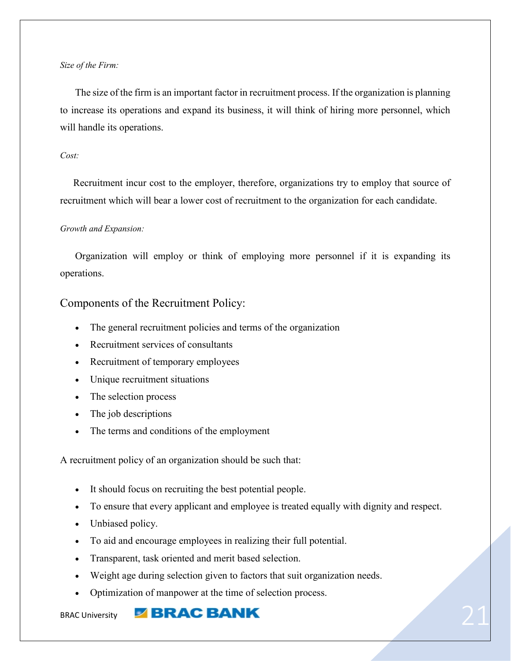#### *Size of the Firm:*

 The size of the firm is an important factor in recruitment process. If the organization is planning to increase its operations and expand its business, it will think of hiring more personnel, which will handle its operations.

#### *Cost:*

Recruitment incur cost to the employer, therefore, organizations try to employ that source of recruitment which will bear a lower cost of recruitment to the organization for each candidate.

#### *Growth and Expansion:*

 Organization will employ or think of employing more personnel if it is expanding its operations.

#### <span id="page-20-0"></span>Components of the Recruitment Policy:

- The general recruitment policies and terms of the organization
- Recruitment services of consultants
- Recruitment of temporary employees
- Unique recruitment situations
- The selection process
- The job descriptions
- The terms and conditions of the employment

A recruitment policy of an organization should be such that:

- It should focus on recruiting the best potential people.
- To ensure that every applicant and employee is treated equally with dignity and respect.
- Unbiased policy.
- To aid and encourage employees in realizing their full potential.
- Transparent, task oriented and merit based selection.
- Weight age during selection given to factors that suit organization needs.
- Optimization of manpower at the time of selection process.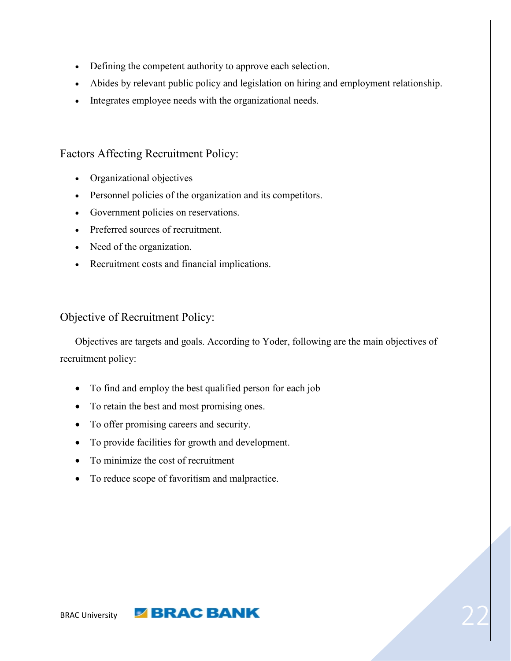- Defining the competent authority to approve each selection.
- Abides by relevant public policy and legislation on hiring and employment relationship.
- Integrates employee needs with the organizational needs.

#### <span id="page-21-0"></span>Factors Affecting Recruitment Policy:

- Organizational objectives
- Personnel policies of the organization and its competitors.
- Government policies on reservations.
- Preferred sources of recruitment.
- Need of the organization.
- Recruitment costs and financial implications.

#### <span id="page-21-1"></span>Objective of Recruitment Policy:

 Objectives are targets and goals. According to Yoder, following are the main objectives of recruitment policy:

- To find and employ the best qualified person for each job
- To retain the best and most promising ones.
- To offer promising careers and security.
- To provide facilities for growth and development.
- To minimize the cost of recruitment
- To reduce scope of favoritism and malpractice.

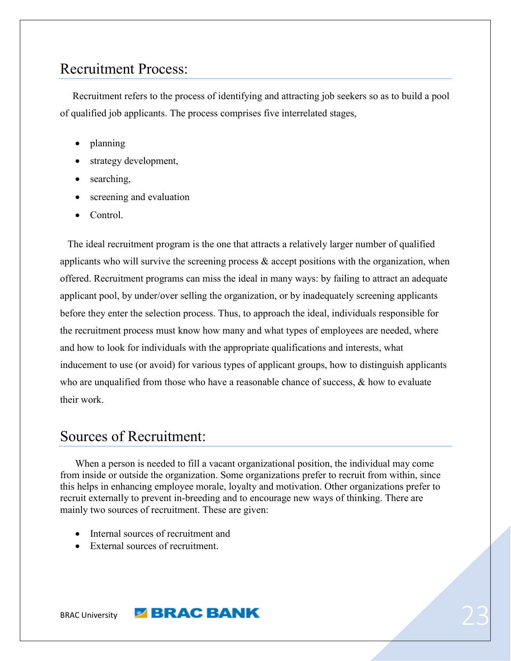# <span id="page-22-0"></span>Recruitment Process:

 Recruitment refers to the process of identifying and attracting job seekers so as to build a pool of qualified job applicants. The process comprises five interrelated stages,

- planning
- strategy development,
- searching,
- screening and evaluation
- Control.

 The ideal recruitment program is the one that attracts a relatively larger number of qualified applicants who will survive the screening process  $\&$  accept positions with the organization, when offered. Recruitment programs can miss the ideal in many ways: by failing to attract an adequate applicant pool, by under/over selling the organization, or by inadequately screening applicants before they enter the selection process. Thus, to approach the ideal, individuals responsible for the recruitment process must know how many and what types of employees are needed, where and how to look for individuals with the appropriate qualifications and interests, what inducement to use (or avoid) for various types of applicant groups, how to distinguish applicants who are unqualified from those who have a reasonable chance of success,  $\&$  how to evaluate their work.

# <span id="page-22-1"></span>Sources of Recruitment:

 When a person is needed to fill a vacant organizational position, the individual may come from inside or outside the organization. Some organizations prefer to recruit from within, since this helps in enhancing employee morale, loyalty and motivation. Other organizations prefer to recruit externally to prevent in-breeding and to encourage new ways of thinking. There are mainly two sources of recruitment. These are given:

- Internal sources of recruitment and
- External sources of recruitment.

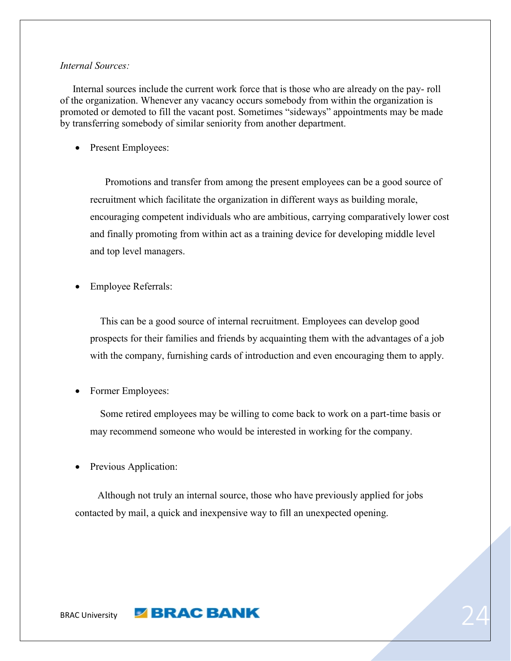#### *Internal Sources:*

 Internal sources include the current work force that is those who are already on the pay- roll of the organization. Whenever any vacancy occurs somebody from within the organization is promoted or demoted to fill the vacant post. Sometimes "sideways" appointments may be made by transferring somebody of similar seniority from another department.

• Present Employees:

 Promotions and transfer from among the present employees can be a good source of recruitment which facilitate the organization in different ways as building morale, encouraging competent individuals who are ambitious, carrying comparatively lower cost and finally promoting from within act as a training device for developing middle level and top level managers.

Employee Referrals:

 This can be a good source of internal recruitment. Employees can develop good prospects for their families and friends by acquainting them with the advantages of a job with the company, furnishing cards of introduction and even encouraging them to apply.

Former Employees:

 Some retired employees may be willing to come back to work on a part-time basis or may recommend someone who would be interested in working for the company.

• Previous Application:

 Although not truly an internal source, those who have previously applied for jobs contacted by mail, a quick and inexpensive way to fill an unexpected opening.

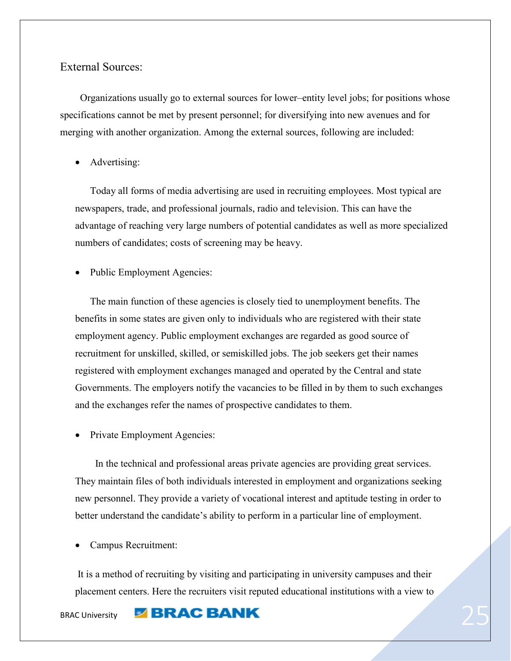#### <span id="page-24-0"></span>External Sources:

 Organizations usually go to external sources for lower–entity level jobs; for positions whose specifications cannot be met by present personnel; for diversifying into new avenues and for merging with another organization. Among the external sources, following are included:

Advertising:

 Today all forms of media advertising are used in recruiting employees. Most typical are newspapers, trade, and professional journals, radio and television. This can have the advantage of reaching very large numbers of potential candidates as well as more specialized numbers of candidates; costs of screening may be heavy.

Public Employment Agencies:

 The main function of these agencies is closely tied to unemployment benefits. The benefits in some states are given only to individuals who are registered with their state employment agency. Public employment exchanges are regarded as good source of recruitment for unskilled, skilled, or semiskilled jobs. The job seekers get their names registered with employment exchanges managed and operated by the Central and state Governments. The employers notify the vacancies to be filled in by them to such exchanges and the exchanges refer the names of prospective candidates to them.

Private Employment Agencies:

 In the technical and professional areas private agencies are providing great services. They maintain files of both individuals interested in employment and organizations seeking new personnel. They provide a variety of vocational interest and aptitude testing in order to better understand the candidate's ability to perform in a particular line of employment.

Campus Recruitment:

It is a method of recruiting by visiting and participating in university campuses and their placement centers. Here the recruiters visit reputed educational institutions with a view to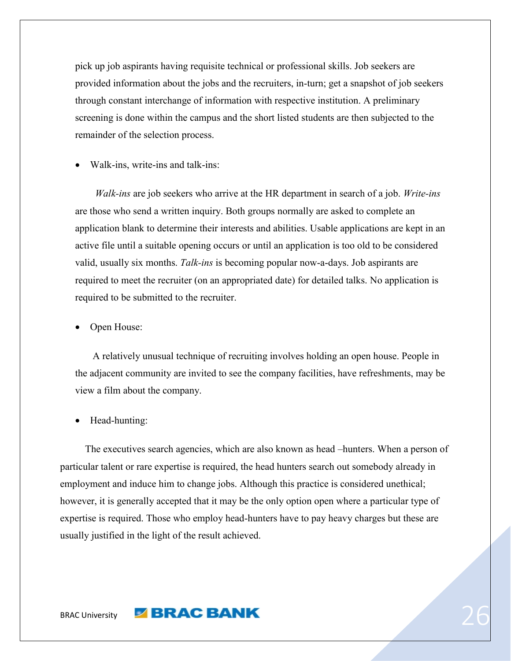pick up job aspirants having requisite technical or professional skills. Job seekers are provided information about the jobs and the recruiters, in-turn; get a snapshot of job seekers through constant interchange of information with respective institution. A preliminary screening is done within the campus and the short listed students are then subjected to the remainder of the selection process.

Walk-ins, write-ins and talk-ins:

 *Walk-ins* are job seekers who arrive at the HR department in search of a job. *Write-ins* are those who send a written inquiry. Both groups normally are asked to complete an application blank to determine their interests and abilities. Usable applications are kept in an active file until a suitable opening occurs or until an application is too old to be considered valid, usually six months. *Talk-ins* is becoming popular now-a-days. Job aspirants are required to meet the recruiter (on an appropriated date) for detailed talks. No application is required to be submitted to the recruiter.

Open House:

 A relatively unusual technique of recruiting involves holding an open house. People in the adjacent community are invited to see the company facilities, have refreshments, may be view a film about the company.

Head-hunting:

 The executives search agencies, which are also known as head –hunters. When a person of particular talent or rare expertise is required, the head hunters search out somebody already in employment and induce him to change jobs. Although this practice is considered unethical; however, it is generally accepted that it may be the only option open where a particular type of expertise is required. Those who employ head-hunters have to pay heavy charges but these are usually justified in the light of the result achieved.

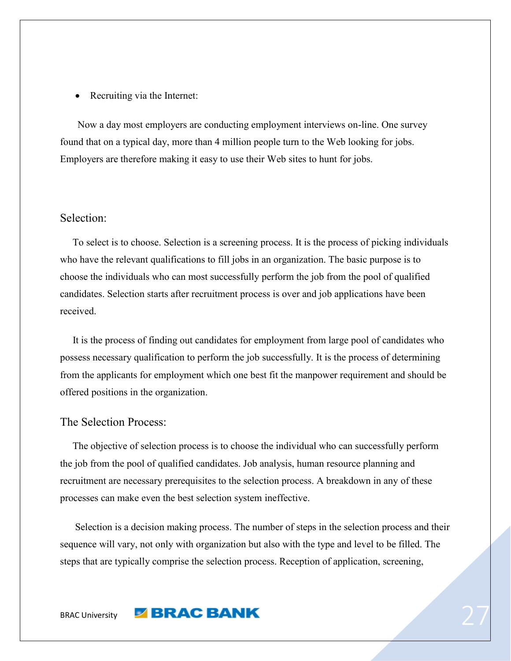• Recruiting via the Internet:

 Now a day most employers are conducting employment interviews on-line. One survey found that on a typical day, more than 4 million people turn to the Web looking for jobs. Employers are therefore making it easy to use their Web sites to hunt for jobs.

#### <span id="page-26-0"></span>Selection:

 To select is to choose. Selection is a screening process. It is the process of picking individuals who have the relevant qualifications to fill jobs in an organization. The basic purpose is to choose the individuals who can most successfully perform the job from the pool of qualified candidates. Selection starts after recruitment process is over and job applications have been received.

 It is the process of finding out candidates for employment from large pool of candidates who possess necessary qualification to perform the job successfully. It is the process of determining from the applicants for employment which one best fit the manpower requirement and should be offered positions in the organization.

#### <span id="page-26-1"></span>The Selection Process:

 The objective of selection process is to choose the individual who can successfully perform the job from the pool of qualified candidates. Job analysis, human resource planning and recruitment are necessary prerequisites to the selection process. A breakdown in any of these processes can make even the best selection system ineffective.

 Selection is a decision making process. The number of steps in the selection process and their sequence will vary, not only with organization but also with the type and level to be filled. The steps that are typically comprise the selection process. Reception of application, screening,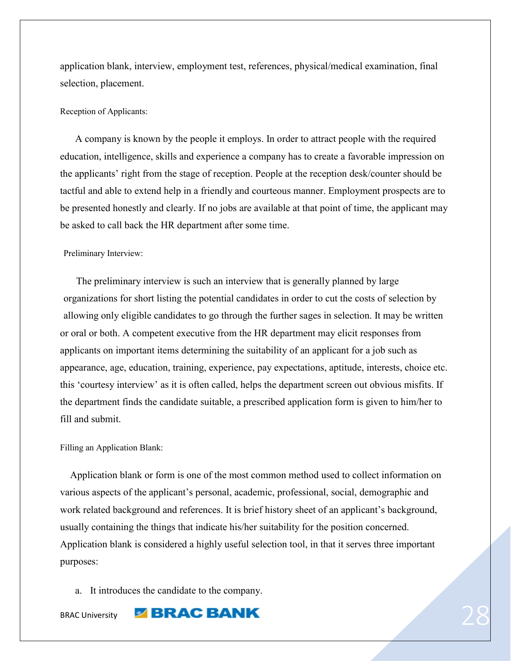application blank, interview, employment test, references, physical/medical examination, final selection, placement.

#### Reception of Applicants:

 A company is known by the people it employs. In order to attract people with the required education, intelligence, skills and experience a company has to create a favorable impression on the applicants' right from the stage of reception. People at the reception desk/counter should be tactful and able to extend help in a friendly and courteous manner. Employment prospects are to be presented honestly and clearly. If no jobs are available at that point of time, the applicant may be asked to call back the HR department after some time.

#### Preliminary Interview:

 The preliminary interview is such an interview that is generally planned by large organizations for short listing the potential candidates in order to cut the costs of selection by allowing only eligible candidates to go through the further sages in selection. It may be written or oral or both. A competent executive from the HR department may elicit responses from applicants on important items determining the suitability of an applicant for a job such as appearance, age, education, training, experience, pay expectations, aptitude, interests, choice etc. this 'courtesy interview' as it is often called, helps the department screen out obvious misfits. If the department finds the candidate suitable, a prescribed application form is given to him/her to fill and submit.

#### Filling an Application Blank:

 Application blank or form is one of the most common method used to collect information on various aspects of the applicant's personal, academic, professional, social, demographic and work related background and references. It is brief history sheet of an applicant's background, usually containing the things that indicate his/her suitability for the position concerned. Application blank is considered a highly useful selection tool, in that it serves three important purposes:

a. It introduces the candidate to the company.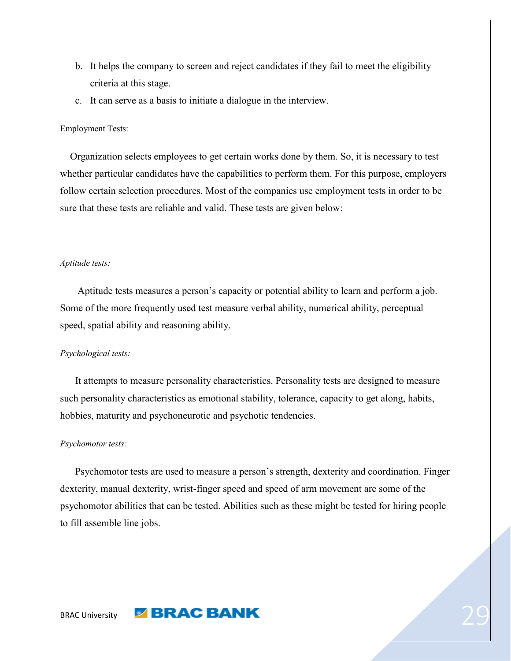- b. It helps the company to screen and reject candidates if they fail to meet the eligibility criteria at this stage.
- c. It can serve as a basis to initiate a dialogue in the interview.

#### Employment Tests:

 Organization selects employees to get certain works done by them. So, it is necessary to test whether particular candidates have the capabilities to perform them. For this purpose, employers follow certain selection procedures. Most of the companies use employment tests in order to be sure that these tests are reliable and valid. These tests are given below:

#### *Aptitude tests:*

 Aptitude tests measures a person's capacity or potential ability to learn and perform a job. Some of the more frequently used test measure verbal ability, numerical ability, perceptual speed, spatial ability and reasoning ability.

#### *Psychological tests:*

 It attempts to measure personality characteristics. Personality tests are designed to measure such personality characteristics as emotional stability, tolerance, capacity to get along, habits, hobbies, maturity and psychoneurotic and psychotic tendencies.

#### *Psychomotor tests:*

 Psychomotor tests are used to measure a person's strength, dexterity and coordination. Finger dexterity, manual dexterity, wrist-finger speed and speed of arm movement are some of the psychomotor abilities that can be tested. Abilities such as these might be tested for hiring people to fill assemble line jobs.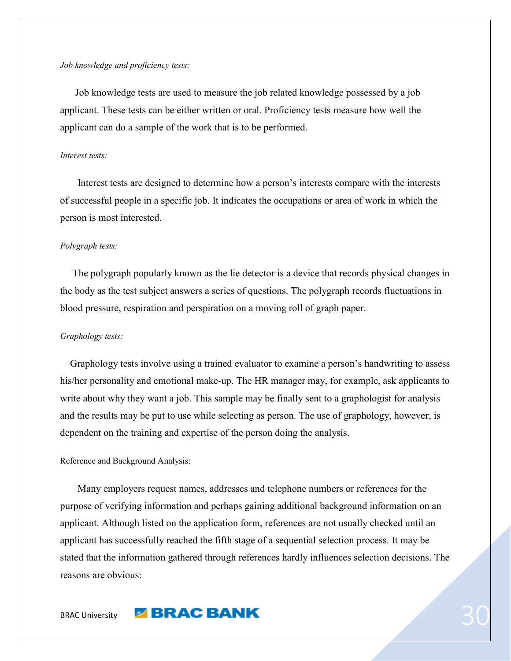#### *Job knowledge and proficiency tests:*

Job knowledge tests are used to measure the job related knowledge possessed by a job applicant. These tests can be either written or oral. Proficiency tests measure how well the applicant can do a sample of the work that is to be performed.

#### *Interest tests:*

 Interest tests are designed to determine how a person's interests compare with the interests of successful people in a specific job. It indicates the occupations or area of work in which the person is most interested.

#### *Polygraph tests:*

 The polygraph popularly known as the lie detector is a device that records physical changes in the body as the test subject answers a series of questions. The polygraph records fluctuations in blood pressure, respiration and perspiration on a moving roll of graph paper.

#### *Graphology tests:*

 Graphology tests involve using a trained evaluator to examine a person's handwriting to assess his/her personality and emotional make-up. The HR manager may, for example, ask applicants to write about why they want a job. This sample may be finally sent to a graphologist for analysis and the results may be put to use while selecting as person. The use of graphology, however, is dependent on the training and expertise of the person doing the analysis.

#### Reference and Background Analysis:

 Many employers request names, addresses and telephone numbers or references for the purpose of verifying information and perhaps gaining additional background information on an applicant. Although listed on the application form, references are not usually checked until an applicant has successfully reached the fifth stage of a sequential selection process. It may be stated that the information gathered through references hardly influences selection decisions. The reasons are obvious: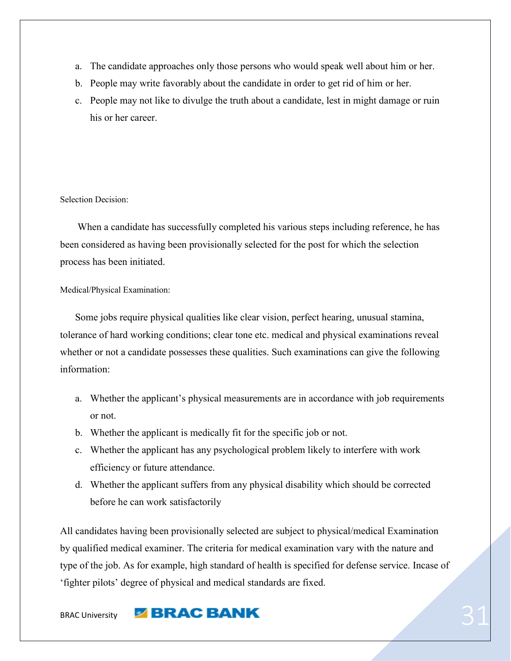- a. The candidate approaches only those persons who would speak well about him or her.
- b. People may write favorably about the candidate in order to get rid of him or her.
- c. People may not like to divulge the truth about a candidate, lest in might damage or ruin his or her career.

#### Selection Decision:

 When a candidate has successfully completed his various steps including reference, he has been considered as having been provisionally selected for the post for which the selection process has been initiated.

#### Medical/Physical Examination:

 Some jobs require physical qualities like clear vision, perfect hearing, unusual stamina, tolerance of hard working conditions; clear tone etc. medical and physical examinations reveal whether or not a candidate possesses these qualities. Such examinations can give the following information:

- a. Whether the applicant's physical measurements are in accordance with job requirements or not.
- b. Whether the applicant is medically fit for the specific job or not.
- c. Whether the applicant has any psychological problem likely to interfere with work efficiency or future attendance.
- d. Whether the applicant suffers from any physical disability which should be corrected before he can work satisfactorily

All candidates having been provisionally selected are subject to physical/medical Examination by qualified medical examiner. The criteria for medical examination vary with the nature and type of the job. As for example, high standard of health is specified for defense service. Incase of 'fighter pilots' degree of physical and medical standards are fixed.

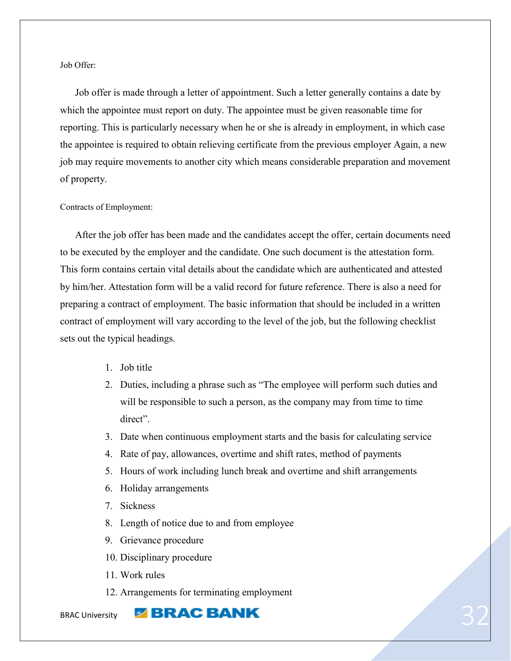Job Offer:

 Job offer is made through a letter of appointment. Such a letter generally contains a date by which the appointee must report on duty. The appointee must be given reasonable time for reporting. This is particularly necessary when he or she is already in employment, in which case the appointee is required to obtain relieving certificate from the previous employer Again, a new job may require movements to another city which means considerable preparation and movement of property.

#### Contracts of Employment:

 After the job offer has been made and the candidates accept the offer, certain documents need to be executed by the employer and the candidate. One such document is the attestation form. This form contains certain vital details about the candidate which are authenticated and attested by him/her. Attestation form will be a valid record for future reference. There is also a need for preparing a contract of employment. The basic information that should be included in a written contract of employment will vary according to the level of the job, but the following checklist sets out the typical headings.

- 1. Job title
- 2. Duties, including a phrase such as "The employee will perform such duties and will be responsible to such a person, as the company may from time to time direct".
- 3. Date when continuous employment starts and the basis for calculating service
- 4. Rate of pay, allowances, overtime and shift rates, method of payments
- 5. Hours of work including lunch break and overtime and shift arrangements
- 6. Holiday arrangements
- 7. Sickness
- 8. Length of notice due to and from employee
- 9. Grievance procedure
- 10. Disciplinary procedure
- 11. Work rules
- 12. Arrangements for terminating employment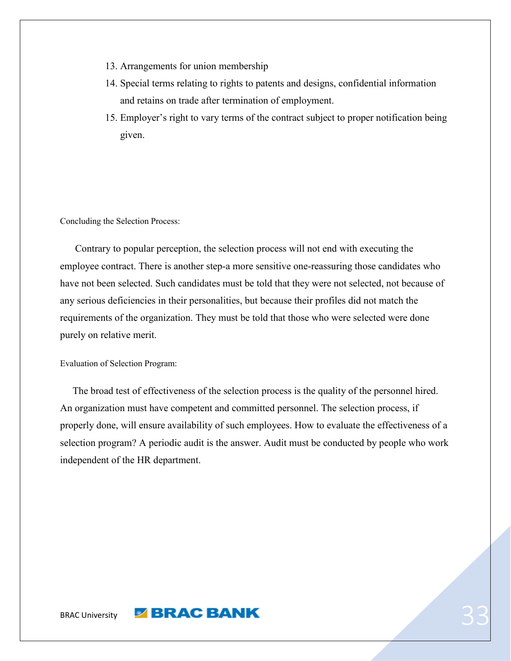- 13. Arrangements for union membership
- 14. Special terms relating to rights to patents and designs, confidential information and retains on trade after termination of employment.
- 15. Employer's right to vary terms of the contract subject to proper notification being given.

Concluding the Selection Process:

 Contrary to popular perception, the selection process will not end with executing the employee contract. There is another step-a more sensitive one-reassuring those candidates who have not been selected. Such candidates must be told that they were not selected, not because of any serious deficiencies in their personalities, but because their profiles did not match the requirements of the organization. They must be told that those who were selected were done purely on relative merit.

Evaluation of Selection Program:

 The broad test of effectiveness of the selection process is the quality of the personnel hired. An organization must have competent and committed personnel. The selection process, if properly done, will ensure availability of such employees. How to evaluate the effectiveness of a selection program? A periodic audit is the answer. Audit must be conducted by people who work independent of the HR department.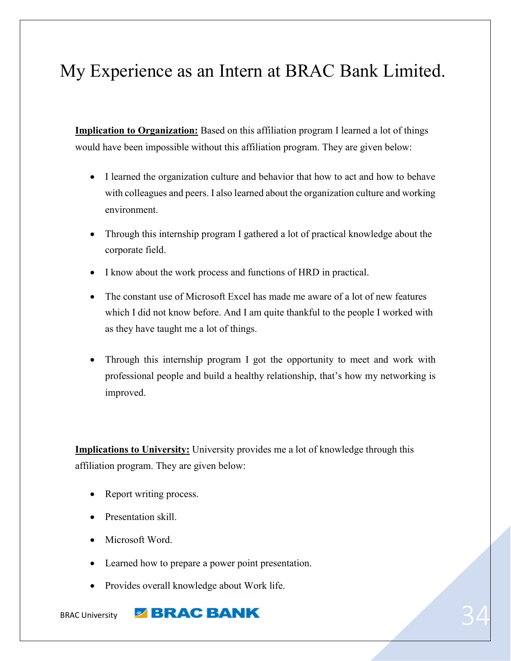# <span id="page-33-0"></span>My Experience as an Intern at BRAC Bank Limited.

**Implication to Organization:** Based on this affiliation program I learned a lot of things would have been impossible without this affiliation program. They are given below:

- I learned the organization culture and behavior that how to act and how to behave with colleagues and peers. I also learned about the organization culture and working environment.
- Through this internship program I gathered a lot of practical knowledge about the corporate field.
- I know about the work process and functions of HRD in practical.
- The constant use of Microsoft Excel has made me aware of a lot of new features which I did not know before. And I am quite thankful to the people I worked with as they have taught me a lot of things.
- Through this internship program I got the opportunity to meet and work with professional people and build a healthy relationship, that's how my networking is improved.

**Implications to University:** University provides me a lot of knowledge through this affiliation program. They are given below:

- Report writing process.
- Presentation skill.
- Microsoft Word.
- Learned how to prepare a power point presentation.
- Provides overall knowledge about Work life.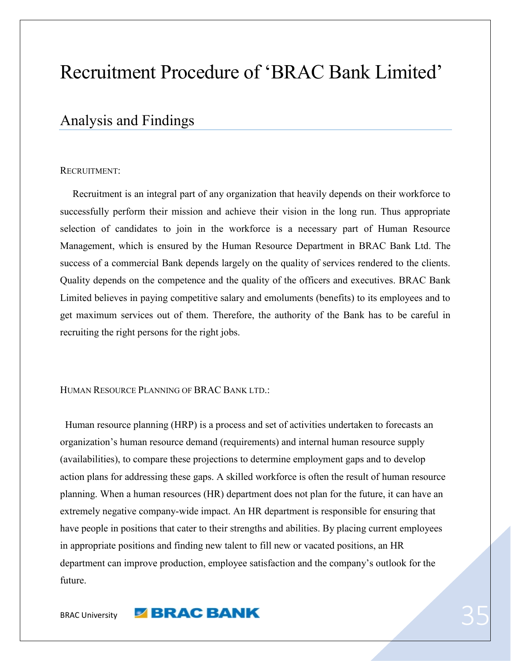# Recruitment Procedure of 'BRAC Bank Limited'

## <span id="page-34-0"></span>Analysis and Findings

#### RECRUITMENT:

 Recruitment is an integral part of any organization that heavily depends on their workforce to successfully perform their mission and achieve their vision in the long run. Thus appropriate selection of candidates to join in the workforce is a necessary part of Human Resource Management, which is ensured by the Human Resource Department in BRAC Bank Ltd. The success of a commercial Bank depends largely on the quality of services rendered to the clients. Quality depends on the competence and the quality of the officers and executives. BRAC Bank Limited believes in paying competitive salary and emoluments (benefits) to its employees and to get maximum services out of them. Therefore, the authority of the Bank has to be careful in recruiting the right persons for the right jobs.

HUMAN RESOURCE PLANNING OF BRAC BANK LTD.:

 Human resource planning (HRP) is a process and set of activities undertaken to forecasts an organization's human resource demand (requirements) and internal human resource supply (availabilities), to compare these projections to determine employment gaps and to develop action plans for addressing these gaps. A skilled workforce is often the result of human resource planning. When a human resources (HR) department does not plan for the future, it can have an extremely negative company-wide impact. An HR department is responsible for ensuring that have people in positions that cater to their strengths and abilities. By placing current employees in appropriate positions and finding new talent to fill new or vacated positions, an HR department can improve production, employee satisfaction and the company's outlook for the future.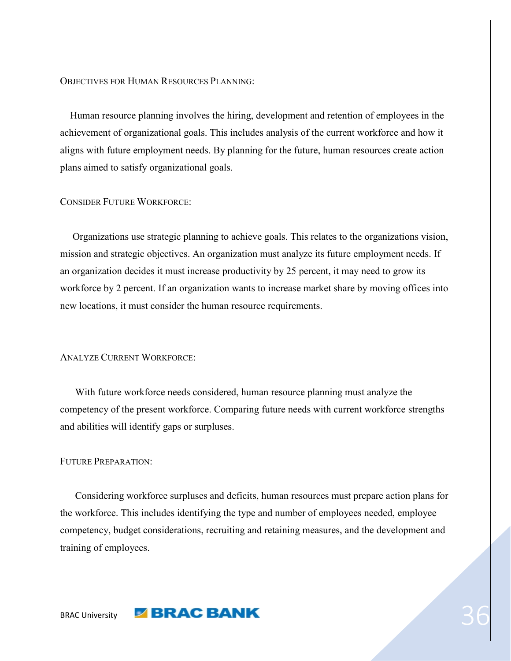OBJECTIVES FOR HUMAN RESOURCES PLANNING:

 Human resource planning involves the hiring, development and retention of employees in the achievement of organizational goals. This includes analysis of the current workforce and how it aligns with future employment needs. By planning for the future, human resources create action plans aimed to satisfy organizational goals.

#### CONSIDER FUTURE WORKFORCE:

 Organizations use strategic planning to achieve goals. This relates to the organizations vision, mission and strategic objectives. An organization must analyze its future employment needs. If an organization decides it must increase productivity by 25 percent, it may need to grow its workforce by 2 percent. If an organization wants to increase market share by moving offices into new locations, it must consider the human resource requirements.

#### ANALYZE CURRENT WORKFORCE:

 With future workforce needs considered, human resource planning must analyze the competency of the present workforce. Comparing future needs with current workforce strengths and abilities will identify gaps or surpluses.

#### FUTURE PREPARATION:

 Considering workforce surpluses and deficits, human resources must prepare action plans for the workforce. This includes identifying the type and number of employees needed, employee competency, budget considerations, recruiting and retaining measures, and the development and training of employees.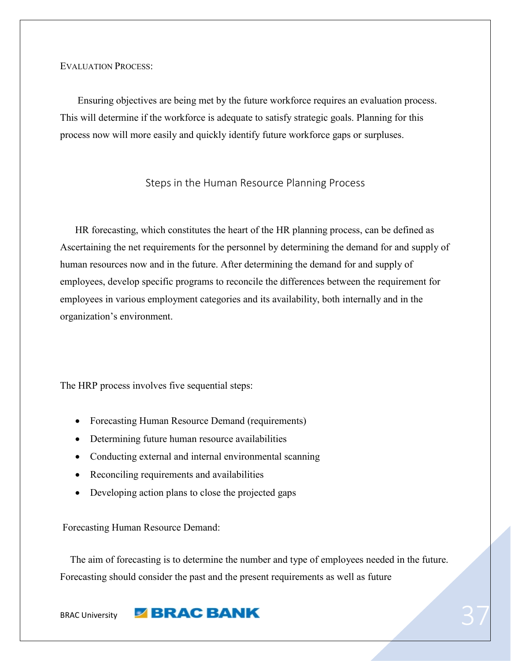EVALUATION PROCESS:

 Ensuring objectives are being met by the future workforce requires an evaluation process. This will determine if the workforce is adequate to satisfy strategic goals. Planning for this process now will more easily and quickly identify future workforce gaps or surpluses.

#### Steps in the Human Resource Planning Process

 HR forecasting, which constitutes the heart of the HR planning process, can be defined as Ascertaining the net requirements for the personnel by determining the demand for and supply of human resources now and in the future. After determining the demand for and supply of employees, develop specific programs to reconcile the differences between the requirement for employees in various employment categories and its availability, both internally and in the organization's environment.

The HRP process involves five sequential steps:

- Forecasting Human Resource Demand (requirements)
- Determining future human resource availabilities
- Conducting external and internal environmental scanning
- Reconciling requirements and availabilities
- Developing action plans to close the projected gaps

Forecasting Human Resource Demand:

 The aim of forecasting is to determine the number and type of employees needed in the future. Forecasting should consider the past and the present requirements as well as future

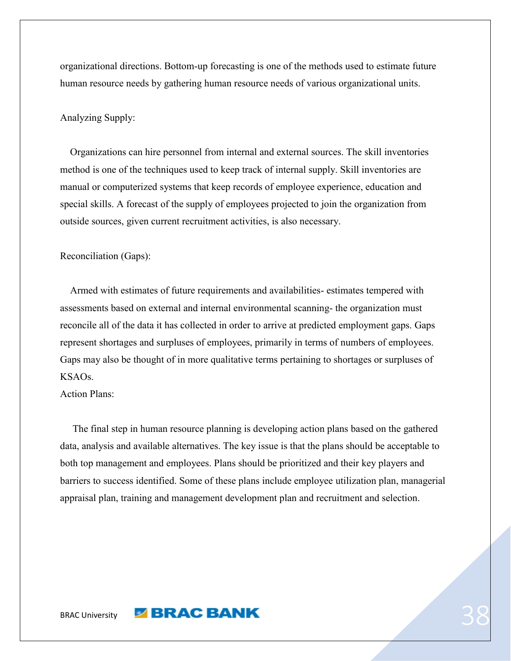organizational directions. Bottom-up forecasting is one of the methods used to estimate future human resource needs by gathering human resource needs of various organizational units.

#### Analyzing Supply:

 Organizations can hire personnel from internal and external sources. The skill inventories method is one of the techniques used to keep track of internal supply. Skill inventories are manual or computerized systems that keep records of employee experience, education and special skills. A forecast of the supply of employees projected to join the organization from outside sources, given current recruitment activities, is also necessary.

#### Reconciliation (Gaps):

 Armed with estimates of future requirements and availabilities- estimates tempered with assessments based on external and internal environmental scanning- the organization must reconcile all of the data it has collected in order to arrive at predicted employment gaps. Gaps represent shortages and surpluses of employees, primarily in terms of numbers of employees. Gaps may also be thought of in more qualitative terms pertaining to shortages or surpluses of KSAOs.

Action Plans:

 The final step in human resource planning is developing action plans based on the gathered data, analysis and available alternatives. The key issue is that the plans should be acceptable to both top management and employees. Plans should be prioritized and their key players and barriers to success identified. Some of these plans include employee utilization plan, managerial appraisal plan, training and management development plan and recruitment and selection.

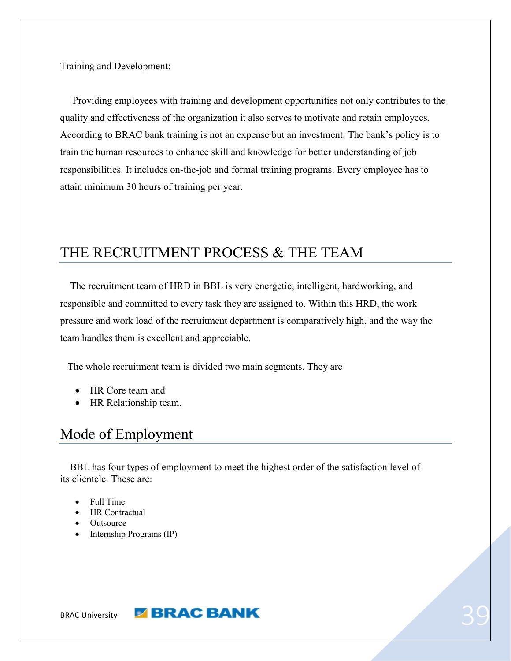Training and Development:

 Providing employees with training and development opportunities not only contributes to the quality and effectiveness of the organization it also serves to motivate and retain employees. According to BRAC bank training is not an expense but an investment. The bank's policy is to train the human resources to enhance skill and knowledge for better understanding of job responsibilities. It includes on-the-job and formal training programs. Every employee has to attain minimum 30 hours of training per year.

# <span id="page-38-0"></span>THE RECRUITMENT PROCESS & THE TEAM

 The recruitment team of HRD in BBL is very energetic, intelligent, hardworking, and responsible and committed to every task they are assigned to. Within this HRD, the work pressure and work load of the recruitment department is comparatively high, and the way the team handles them is excellent and appreciable.

The whole recruitment team is divided two main segments. They are

- HR Core team and
- HR Relationship team.

# <span id="page-38-1"></span>Mode of Employment

 BBL has four types of employment to meet the highest order of the satisfaction level of its clientele. These are:

- Full Time
- HR Contractual
- **Outsource**
- $\bullet$  Internship Programs (IP)

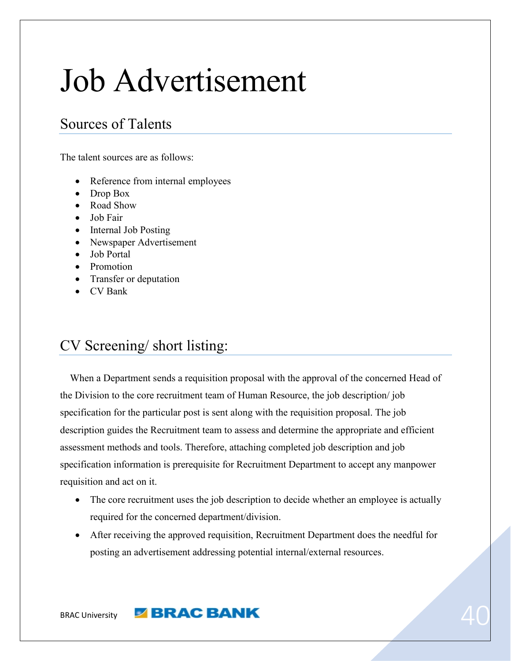# Job Advertisement

# <span id="page-39-0"></span>Sources of Talents

The talent sources are as follows:

- Reference from internal employees
- Drop Box
- Road Show
- Job Fair
- Internal Job Posting
- Newspaper Advertisement
- Job Portal
- Promotion
- Transfer or deputation
- CV Bank

# <span id="page-39-1"></span>CV Screening/ short listing:

 When a Department sends a requisition proposal with the approval of the concerned Head of the Division to the core recruitment team of Human Resource, the job description/ job specification for the particular post is sent along with the requisition proposal. The job description guides the Recruitment team to assess and determine the appropriate and efficient assessment methods and tools. Therefore, attaching completed job description and job specification information is prerequisite for Recruitment Department to accept any manpower requisition and act on it.

- The core recruitment uses the job description to decide whether an employee is actually required for the concerned department/division.
- After receiving the approved requisition, Recruitment Department does the needful for posting an advertisement addressing potential internal/external resources.

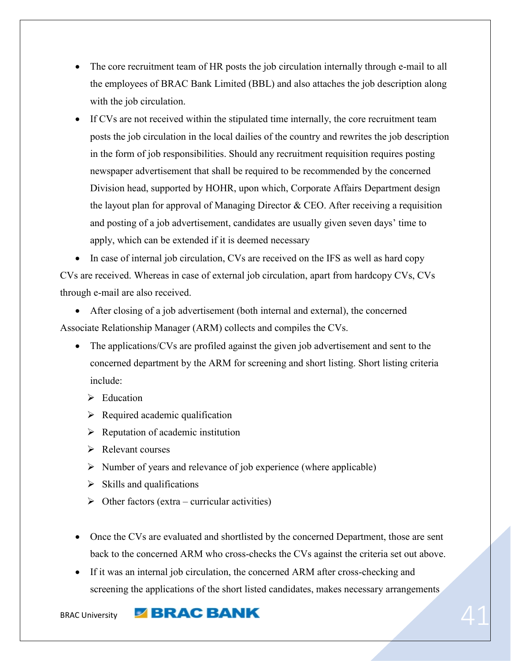- The core recruitment team of HR posts the job circulation internally through e-mail to all the employees of BRAC Bank Limited (BBL) and also attaches the job description along with the job circulation.
- If CVs are not received within the stipulated time internally, the core recruitment team posts the job circulation in the local dailies of the country and rewrites the job description in the form of job responsibilities. Should any recruitment requisition requires posting newspaper advertisement that shall be required to be recommended by the concerned Division head, supported by HOHR, upon which, Corporate Affairs Department design the layout plan for approval of Managing Director  $&$  CEO. After receiving a requisition and posting of a job advertisement, candidates are usually given seven days' time to apply, which can be extended if it is deemed necessary

• In case of internal job circulation, CVs are received on the IFS as well as hard copy CVs are received. Whereas in case of external job circulation, apart from hardcopy CVs, CVs through e-mail are also received.

 After closing of a job advertisement (both internal and external), the concerned Associate Relationship Manager (ARM) collects and compiles the CVs.

- The applications/CVs are profiled against the given job advertisement and sent to the concerned department by the ARM for screening and short listing. Short listing criteria include:
	- $\triangleright$  Education
	- $\triangleright$  Required academic qualification
	- $\triangleright$  Reputation of academic institution
	- $\triangleright$  Relevant courses
	- $\triangleright$  Number of years and relevance of job experience (where applicable)
	- $\triangleright$  Skills and qualifications
	- $\triangleright$  Other factors (extra curricular activities)
- Once the CVs are evaluated and shortlisted by the concerned Department, those are sent back to the concerned ARM who cross-checks the CVs against the criteria set out above.
- If it was an internal job circulation, the concerned ARM after cross-checking and screening the applications of the short listed candidates, makes necessary arrangements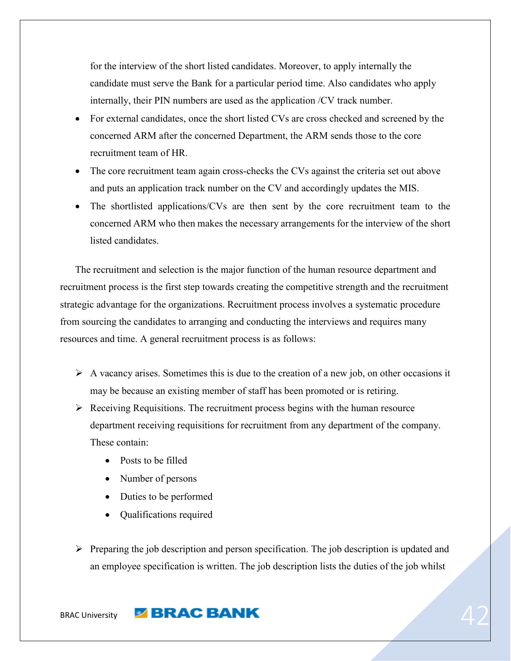for the interview of the short listed candidates. Moreover, to apply internally the candidate must serve the Bank for a particular period time. Also candidates who apply internally, their PIN numbers are used as the application /CV track number.

- For external candidates, once the short listed CVs are cross checked and screened by the concerned ARM after the concerned Department, the ARM sends those to the core recruitment team of HR.
- The core recruitment team again cross-checks the CVs against the criteria set out above and puts an application track number on the CV and accordingly updates the MIS.
- The shortlisted applications/CVs are then sent by the core recruitment team to the concerned ARM who then makes the necessary arrangements for the interview of the short listed candidates.

 The recruitment and selection is the major function of the human resource department and recruitment process is the first step towards creating the competitive strength and the recruitment strategic advantage for the organizations. Recruitment process involves a systematic procedure from sourcing the candidates to arranging and conducting the interviews and requires many resources and time. A general recruitment process is as follows:

- $\triangleright$  A vacancy arises. Sometimes this is due to the creation of a new job, on other occasions it may be because an existing member of staff has been promoted or is retiring.
- $\triangleright$  Receiving Requisitions. The recruitment process begins with the human resource department receiving requisitions for recruitment from any department of the company. These contain:
	- Posts to be filled
	- Number of persons
	- Duties to be performed
	- Oualifications required
- $\triangleright$  Preparing the job description and person specification. The job description is updated and an employee specification is written. The job description lists the duties of the job whilst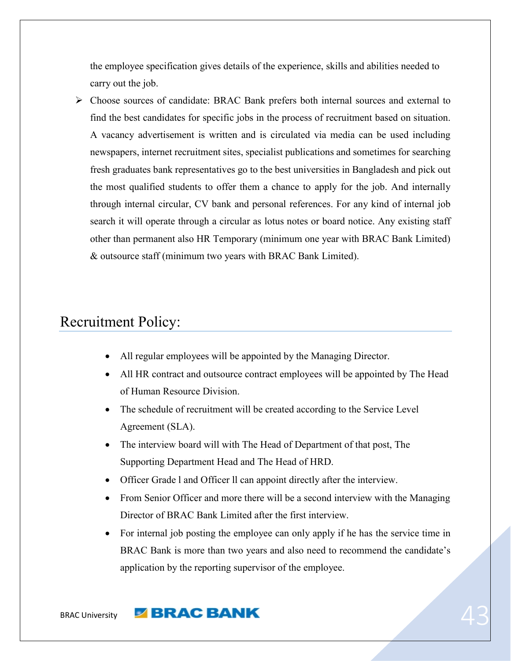the employee specification gives details of the experience, skills and abilities needed to carry out the job.

 Choose sources of candidate: BRAC Bank prefers both internal sources and external to find the best candidates for specific jobs in the process of recruitment based on situation. A vacancy advertisement is written and is circulated via media can be used including newspapers, internet recruitment sites, specialist publications and sometimes for searching fresh graduates bank representatives go to the best universities in Bangladesh and pick out the most qualified students to offer them a chance to apply for the job. And internally through internal circular, CV bank and personal references. For any kind of internal job search it will operate through a circular as lotus notes or board notice. Any existing staff other than permanent also HR Temporary (minimum one year with BRAC Bank Limited) & outsource staff (minimum two years with BRAC Bank Limited).

# <span id="page-42-0"></span>Recruitment Policy:

- All regular employees will be appointed by the Managing Director.
- All HR contract and outsource contract employees will be appointed by The Head of Human Resource Division.
- The schedule of recruitment will be created according to the Service Level Agreement (SLA).
- The interview board will with The Head of Department of that post, The Supporting Department Head and The Head of HRD.
- Officer Grade l and Officer ll can appoint directly after the interview.
- From Senior Officer and more there will be a second interview with the Managing Director of BRAC Bank Limited after the first interview.
- For internal job posting the employee can only apply if he has the service time in BRAC Bank is more than two years and also need to recommend the candidate's application by the reporting supervisor of the employee.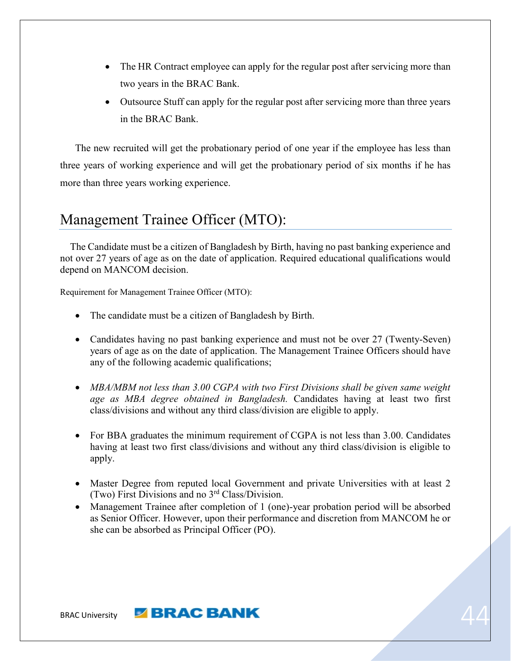- The HR Contract employee can apply for the regular post after servicing more than two years in the BRAC Bank.
- Outsource Stuff can apply for the regular post after servicing more than three years in the BRAC Bank.

 The new recruited will get the probationary period of one year if the employee has less than three years of working experience and will get the probationary period of six months if he has more than three years working experience.

# <span id="page-43-0"></span>Management Trainee Officer (MTO):

 The Candidate must be a citizen of Bangladesh by Birth, having no past banking experience and not over 27 years of age as on the date of application. Required educational qualifications would depend on MANCOM decision.

Requirement for Management Trainee Officer (MTO):

- The candidate must be a citizen of Bangladesh by Birth.
- Candidates having no past banking experience and must not be over 27 (Twenty-Seven) years of age as on the date of application. The Management Trainee Officers should have any of the following academic qualifications;
- MBA/MBM not less than 3.00 CGPA with two First Divisions shall be given same weight *age as MBA degree obtained in Bangladesh.* Candidates having at least two first class/divisions and without any third class/division are eligible to apply.
- For BBA graduates the minimum requirement of CGPA is not less than 3.00. Candidates having at least two first class/divisions and without any third class/division is eligible to apply.
- Master Degree from reputed local Government and private Universities with at least 2 (Two) First Divisions and no 3rd Class/Division.
- Management Trainee after completion of 1 (one)-year probation period will be absorbed as Senior Officer. However, upon their performance and discretion from MANCOM he or she can be absorbed as Principal Officer (PO).

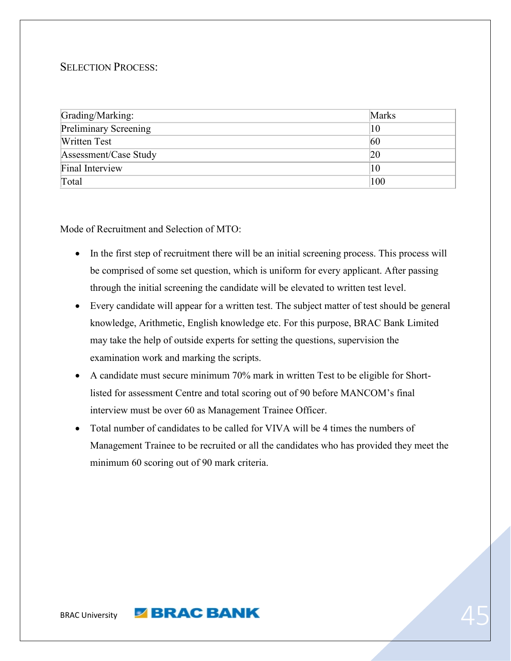#### SELECTION PROCESS:

| Grading/Marking:             | Marks |
|------------------------------|-------|
| <b>Preliminary Screening</b> | 10    |
| <b>Written Test</b>          | 60    |
| Assessment/Case Study        | 20    |
| Final Interview              | 10    |
| Total                        | 100   |

Mode of Recruitment and Selection of MTO:

- In the first step of recruitment there will be an initial screening process. This process will be comprised of some set question, which is uniform for every applicant. After passing through the initial screening the candidate will be elevated to written test level.
- Every candidate will appear for a written test. The subject matter of test should be general knowledge, Arithmetic, English knowledge etc. For this purpose, BRAC Bank Limited may take the help of outside experts for setting the questions, supervision the examination work and marking the scripts.
- A candidate must secure minimum 70% mark in written Test to be eligible for Shortlisted for assessment Centre and total scoring out of 90 before MANCOM's final interview must be over 60 as Management Trainee Officer.
- Total number of candidates to be called for VIVA will be 4 times the numbers of Management Trainee to be recruited or all the candidates who has provided they meet the minimum 60 scoring out of 90 mark criteria.

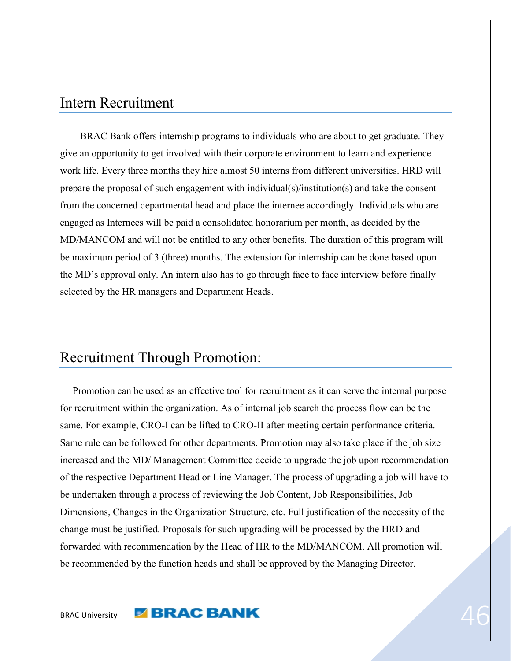### <span id="page-45-0"></span>Intern Recruitment

 BRAC Bank offers internship programs to individuals who are about to get graduate. They give an opportunity to get involved with their corporate environment to learn and experience work life. Every three months they hire almost 50 interns from different universities. HRD will prepare the proposal of such engagement with individual(s)/institution(s) and take the consent from the concerned departmental head and place the internee accordingly. Individuals who are engaged as Internees will be paid a consolidated honorarium per month, as decided by the MD/MANCOM and will not be entitled to any other benefits*.* The duration of this program will be maximum period of 3 (three) months. The extension for internship can be done based upon the MD's approval only. An intern also has to go through face to face interview before finally selected by the HR managers and Department Heads.

# <span id="page-45-1"></span>Recruitment Through Promotion:

 Promotion can be used as an effective tool for recruitment as it can serve the internal purpose for recruitment within the organization. As of internal job search the process flow can be the same. For example, CRO-I can be lifted to CRO-II after meeting certain performance criteria. Same rule can be followed for other departments. Promotion may also take place if the job size increased and the MD/ Management Committee decide to upgrade the job upon recommendation of the respective Department Head or Line Manager. The process of upgrading a job will have to be undertaken through a process of reviewing the Job Content, Job Responsibilities, Job Dimensions, Changes in the Organization Structure, etc. Full justification of the necessity of the change must be justified. Proposals for such upgrading will be processed by the HRD and forwarded with recommendation by the Head of HR to the MD/MANCOM. All promotion will be recommended by the function heads and shall be approved by the Managing Director.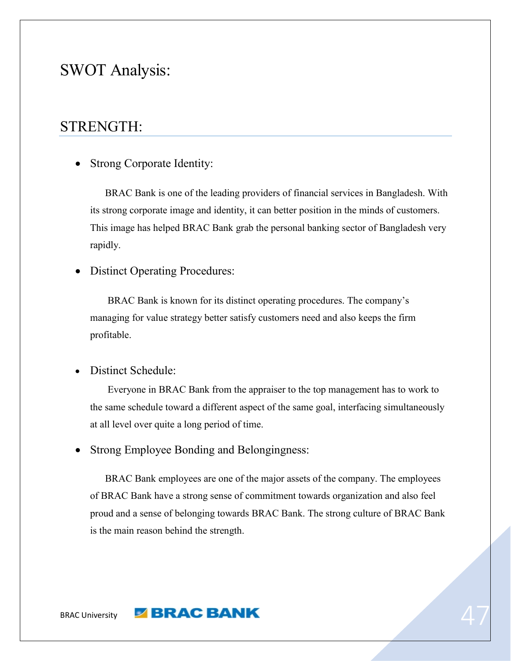# SWOT Analysis:

# <span id="page-46-0"></span>STRENGTH:

<span id="page-46-1"></span>• Strong Corporate Identity:

 BRAC Bank is one of the leading providers of financial services in Bangladesh. With its strong corporate image and identity, it can better position in the minds of customers. This image has helped BRAC Bank grab the personal banking sector of Bangladesh very rapidly.

<span id="page-46-2"></span>• Distinct Operating Procedures:

 BRAC Bank is known for its distinct operating procedures. The company's managing for value strategy better satisfy customers need and also keeps the firm profitable.

<span id="page-46-3"></span>Distinct Schedule:

 Everyone in BRAC Bank from the appraiser to the top management has to work to the same schedule toward a different aspect of the same goal, interfacing simultaneously at all level over quite a long period of time.

<span id="page-46-4"></span>Strong Employee Bonding and Belongingness:

 BRAC Bank employees are one of the major assets of the company. The employees of BRAC Bank have a strong sense of commitment towards organization and also feel proud and a sense of belonging towards BRAC Bank. The strong culture of BRAC Bank is the main reason behind the strength.

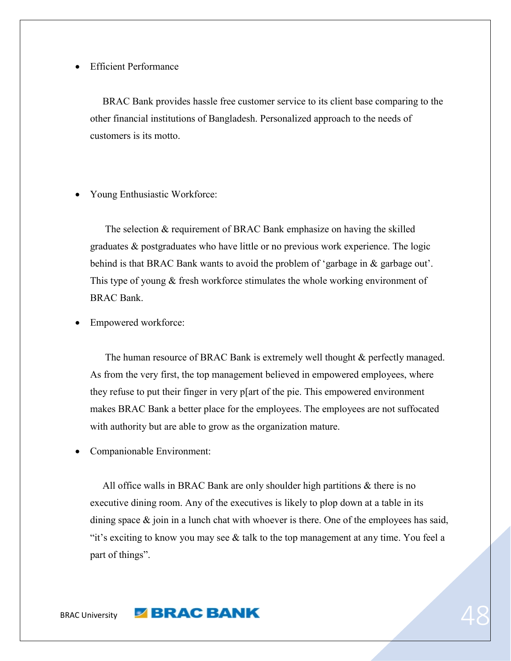#### <span id="page-47-0"></span>Efficient Performance

 BRAC Bank provides hassle free customer service to its client base comparing to the other financial institutions of Bangladesh. Personalized approach to the needs of customers is its motto.

<span id="page-47-1"></span>Young Enthusiastic Workforce:

 The selection & requirement of BRAC Bank emphasize on having the skilled graduates & postgraduates who have little or no previous work experience. The logic behind is that BRAC Bank wants to avoid the problem of 'garbage in & garbage out'. This type of young & fresh workforce stimulates the whole working environment of BRAC Bank.

<span id="page-47-2"></span>Empowered workforce:

The human resource of BRAC Bank is extremely well thought  $\&$  perfectly managed. As from the very first, the top management believed in empowered employees, where they refuse to put their finger in very p[art of the pie. This empowered environment makes BRAC Bank a better place for the employees. The employees are not suffocated with authority but are able to grow as the organization mature.

<span id="page-47-3"></span>Companionable Environment:

 All office walls in BRAC Bank are only shoulder high partitions & there is no executive dining room. Any of the executives is likely to plop down at a table in its dining space  $\&$  join in a lunch chat with whoever is there. One of the employees has said, "it's exciting to know you may see  $\&$  talk to the top management at any time. You feel a part of things".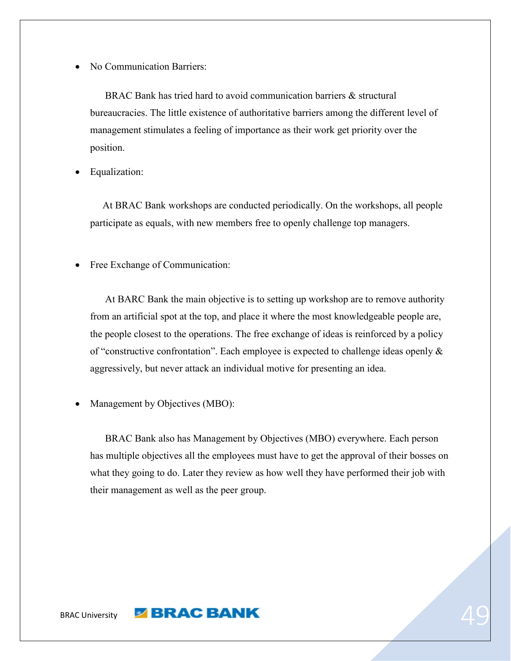<span id="page-48-0"></span>No Communication Barriers:

 BRAC Bank has tried hard to avoid communication barriers & structural bureaucracies. The little existence of authoritative barriers among the different level of management stimulates a feeling of importance as their work get priority over the position.

<span id="page-48-1"></span>Equalization:

 At BRAC Bank workshops are conducted periodically. On the workshops, all people participate as equals, with new members free to openly challenge top managers.

<span id="page-48-2"></span>Free Exchange of Communication:

 At BARC Bank the main objective is to setting up workshop are to remove authority from an artificial spot at the top, and place it where the most knowledgeable people are, the people closest to the operations. The free exchange of ideas is reinforced by a policy of "constructive confrontation". Each employee is expected to challenge ideas openly & aggressively, but never attack an individual motive for presenting an idea.

<span id="page-48-3"></span>Management by Objectives (MBO):

 BRAC Bank also has Management by Objectives (MBO) everywhere. Each person has multiple objectives all the employees must have to get the approval of their bosses on what they going to do. Later they review as how well they have performed their job with their management as well as the peer group.

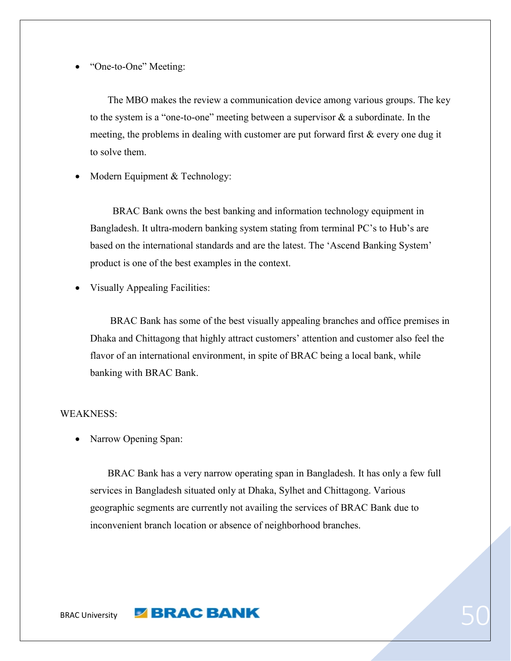<span id="page-49-0"></span>"One-to-One" Meeting:

 The MBO makes the review a communication device among various groups. The key to the system is a "one-to-one" meeting between a supervisor & a subordinate. In the meeting, the problems in dealing with customer are put forward first & every one dug it to solve them.

<span id="page-49-1"></span>Modern Equipment & Technology:

 BRAC Bank owns the best banking and information technology equipment in Bangladesh. It ultra-modern banking system stating from terminal PC's to Hub's are based on the international standards and are the latest. The 'Ascend Banking System' product is one of the best examples in the context.

<span id="page-49-2"></span>Visually Appealing Facilities:

 BRAC Bank has some of the best visually appealing branches and office premises in Dhaka and Chittagong that highly attract customers' attention and customer also feel the flavor of an international environment, in spite of BRAC being a local bank, while banking with BRAC Bank.

#### <span id="page-49-4"></span><span id="page-49-3"></span>WEAKNESS:

Narrow Opening Span:

 BRAC Bank has a very narrow operating span in Bangladesh. It has only a few full services in Bangladesh situated only at Dhaka, Sylhet and Chittagong. Various geographic segments are currently not availing the services of BRAC Bank due to inconvenient branch location or absence of neighborhood branches.

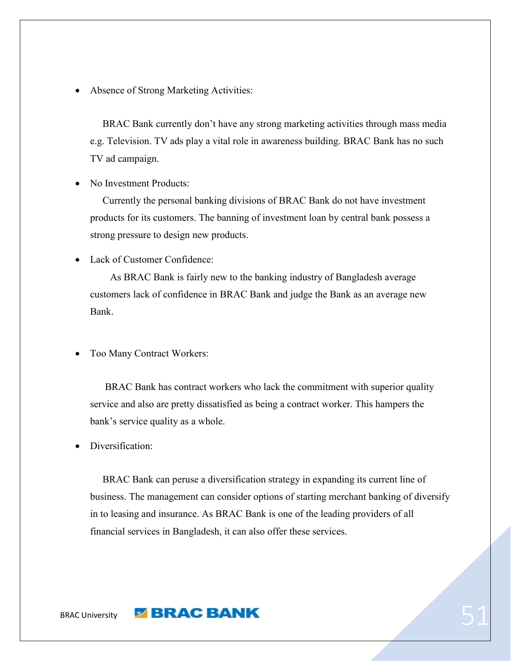<span id="page-50-0"></span>Absence of Strong Marketing Activities:

 BRAC Bank currently don't have any strong marketing activities through mass media e.g. Television. TV ads play a vital role in awareness building. BRAC Bank has no such TV ad campaign.

<span id="page-50-1"></span>No Investment Products:

 Currently the personal banking divisions of BRAC Bank do not have investment products for its customers. The banning of investment loan by central bank possess a strong pressure to design new products.

<span id="page-50-2"></span>Lack of Customer Confidence:

 As BRAC Bank is fairly new to the banking industry of Bangladesh average customers lack of confidence in BRAC Bank and judge the Bank as an average new Bank.

<span id="page-50-3"></span>Too Many Contract Workers:

 BRAC Bank has contract workers who lack the commitment with superior quality service and also are pretty dissatisfied as being a contract worker. This hampers the bank's service quality as a whole.

<span id="page-50-4"></span>Diversification:

 BRAC Bank can peruse a diversification strategy in expanding its current line of business. The management can consider options of starting merchant banking of diversify in to leasing and insurance. As BRAC Bank is one of the leading providers of all financial services in Bangladesh, it can also offer these services.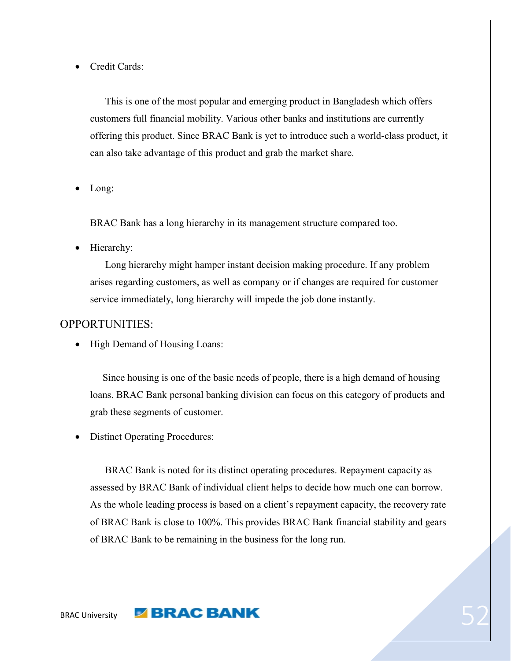<span id="page-51-0"></span>Credit Cards:

 This is one of the most popular and emerging product in Bangladesh which offers customers full financial mobility. Various other banks and institutions are currently offering this product. Since BRAC Bank is yet to introduce such a world-class product, it can also take advantage of this product and grab the market share.

Long:

BRAC Bank has a long hierarchy in its management structure compared too.

<span id="page-51-1"></span>Hierarchy:

 Long hierarchy might hamper instant decision making procedure. If any problem arises regarding customers, as well as company or if changes are required for customer service immediately, long hierarchy will impede the job done instantly.

#### <span id="page-51-3"></span><span id="page-51-2"></span>OPPORTUNITIES:

• High Demand of Housing Loans:

 Since housing is one of the basic needs of people, there is a high demand of housing loans. BRAC Bank personal banking division can focus on this category of products and grab these segments of customer.

<span id="page-51-4"></span>Distinct Operating Procedures:

 BRAC Bank is noted for its distinct operating procedures. Repayment capacity as assessed by BRAC Bank of individual client helps to decide how much one can borrow. As the whole leading process is based on a client's repayment capacity, the recovery rate of BRAC Bank is close to 100%. This provides BRAC Bank financial stability and gears of BRAC Bank to be remaining in the business for the long run.

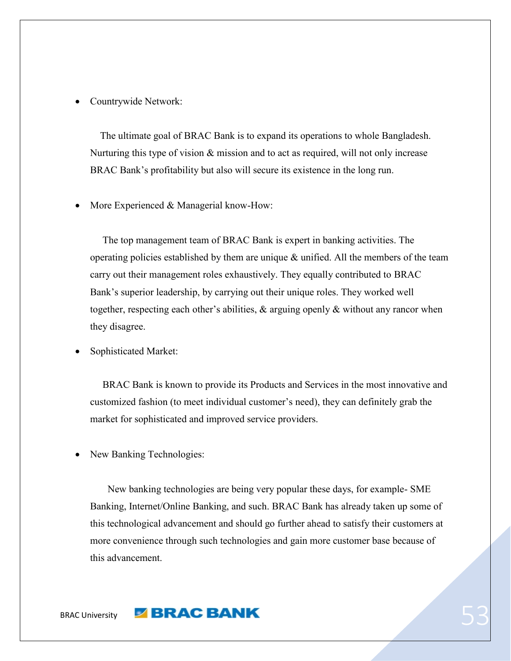#### Countrywide Network:

 The ultimate goal of BRAC Bank is to expand its operations to whole Bangladesh. Nurturing this type of vision  $\&$  mission and to act as required, will not only increase BRAC Bank's profitability but also will secure its existence in the long run.

More Experienced & Managerial know-How:

 The top management team of BRAC Bank is expert in banking activities. The operating policies established by them are unique  $\&$  unified. All the members of the team carry out their management roles exhaustively. They equally contributed to BRAC Bank's superior leadership, by carrying out their unique roles. They worked well together, respecting each other's abilities, & arguing openly & without any rancor when they disagree.

<span id="page-52-0"></span>Sophisticated Market:

 BRAC Bank is known to provide its Products and Services in the most innovative and customized fashion (to meet individual customer's need), they can definitely grab the market for sophisticated and improved service providers.

New Banking Technologies:

 New banking technologies are being very popular these days, for example- SME Banking, Internet/Online Banking, and such. BRAC Bank has already taken up some of this technological advancement and should go further ahead to satisfy their customers at more convenience through such technologies and gain more customer base because of this advancement.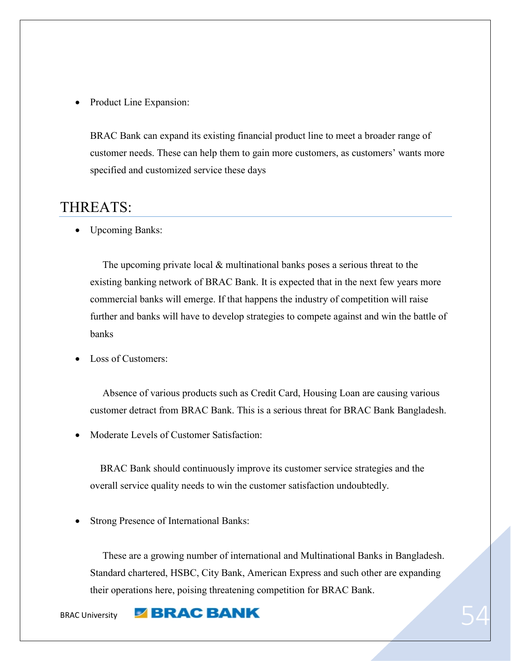<span id="page-53-0"></span>• Product Line Expansion:

BRAC Bank can expand its existing financial product line to meet a broader range of customer needs. These can help them to gain more customers, as customers' wants more specified and customized service these days

# <span id="page-53-2"></span><span id="page-53-1"></span>THREATS:

• Upcoming Banks:

The upcoming private local  $\&$  multinational banks poses a serious threat to the existing banking network of BRAC Bank. It is expected that in the next few years more commercial banks will emerge. If that happens the industry of competition will raise further and banks will have to develop strategies to compete against and win the battle of banks

<span id="page-53-3"></span>Loss of Customers:

 Absence of various products such as Credit Card, Housing Loan are causing various customer detract from BRAC Bank. This is a serious threat for BRAC Bank Bangladesh.

<span id="page-53-4"></span>Moderate Levels of Customer Satisfaction:

 BRAC Bank should continuously improve its customer service strategies and the overall service quality needs to win the customer satisfaction undoubtedly.

Strong Presence of International Banks:

 These are a growing number of international and Multinational Banks in Bangladesh. Standard chartered, HSBC, City Bank, American Express and such other are expanding their operations here, poising threatening competition for BRAC Bank.

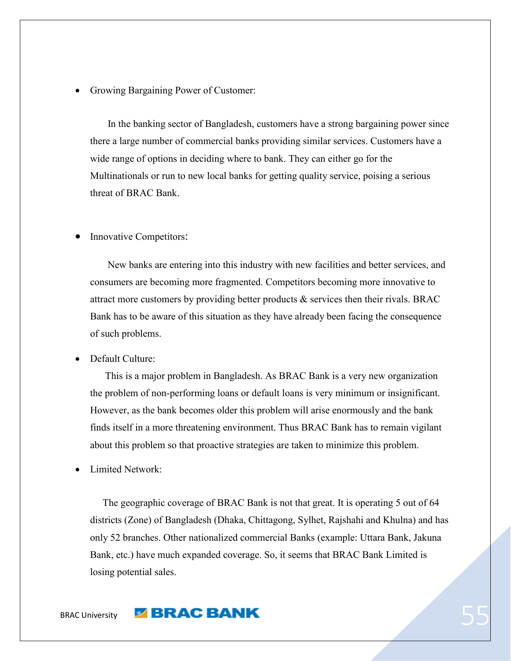<span id="page-54-0"></span>Growing Bargaining Power of Customer:

 In the banking sector of Bangladesh, customers have a strong bargaining power since there a large number of commercial banks providing similar services. Customers have a wide range of options in deciding where to bank. They can either go for the Multinationals or run to new local banks for getting quality service, poising a serious threat of BRAC Bank.

#### <span id="page-54-1"></span>Innovative Competitors:

 New banks are entering into this industry with new facilities and better services, and consumers are becoming more fragmented. Competitors becoming more innovative to attract more customers by providing better products  $\&$  services then their rivals. BRAC Bank has to be aware of this situation as they have already been facing the consequence of such problems.

#### <span id="page-54-2"></span>Default Culture:

 This is a major problem in Bangladesh. As BRAC Bank is a very new organization the problem of non-performing loans or default loans is very minimum or insignificant. However, as the bank becomes older this problem will arise enormously and the bank finds itself in a more threatening environment. Thus BRAC Bank has to remain vigilant about this problem so that proactive strategies are taken to minimize this problem.

<span id="page-54-3"></span>Limited Network:

 The geographic coverage of BRAC Bank is not that great. It is operating 5 out of 64 districts (Zone) of Bangladesh (Dhaka, Chittagong, Sylhet, Rajshahi and Khulna) and has only 52 branches. Other nationalized commercial Banks (example: Uttara Bank, Jakuna Bank, etc.) have much expanded coverage. So, it seems that BRAC Bank Limited is losing potential sales.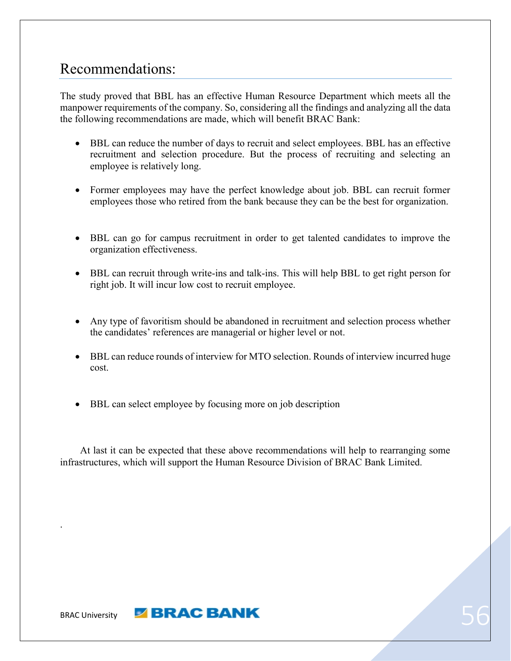# <span id="page-55-0"></span>Recommendations:

The study proved that BBL has an effective Human Resource Department which meets all the manpower requirements of the company. So, considering all the findings and analyzing all the data the following recommendations are made, which will benefit BRAC Bank:

- BBL can reduce the number of days to recruit and select employees. BBL has an effective recruitment and selection procedure. But the process of recruiting and selecting an employee is relatively long.
- Former employees may have the perfect knowledge about job. BBL can recruit former employees those who retired from the bank because they can be the best for organization.
- BBL can go for campus recruitment in order to get talented candidates to improve the organization effectiveness.
- BBL can recruit through write-ins and talk-ins. This will help BBL to get right person for right job. It will incur low cost to recruit employee.
- Any type of favoritism should be abandoned in recruitment and selection process whether the candidates' references are managerial or higher level or not.
- BBL can reduce rounds of interview for MTO selection. Rounds of interview incurred huge cost.
- BBL can select employee by focusing more on job description

 At last it can be expected that these above recommendations will help to rearranging some infrastructures, which will support the Human Resource Division of BRAC Bank Limited.



.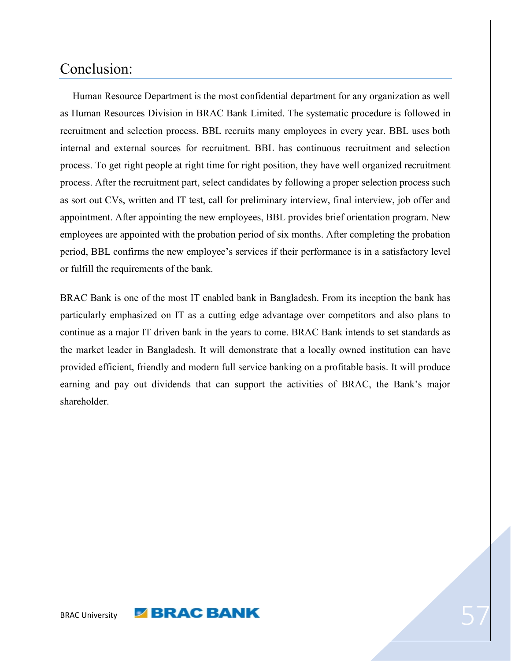# <span id="page-56-0"></span>Conclusion:

 Human Resource Department is the most confidential department for any organization as well as Human Resources Division in BRAC Bank Limited. The systematic procedure is followed in recruitment and selection process. BBL recruits many employees in every year. BBL uses both internal and external sources for recruitment. BBL has continuous recruitment and selection process. To get right people at right time for right position, they have well organized recruitment process. After the recruitment part, select candidates by following a proper selection process such as sort out CVs, written and IT test, call for preliminary interview, final interview, job offer and appointment. After appointing the new employees, BBL provides brief orientation program. New employees are appointed with the probation period of six months. After completing the probation period, BBL confirms the new employee's services if their performance is in a satisfactory level or fulfill the requirements of the bank.

BRAC Bank is one of the most IT enabled bank in Bangladesh. From its inception the bank has particularly emphasized on IT as a cutting edge advantage over competitors and also plans to continue as a major IT driven bank in the years to come. BRAC Bank intends to set standards as the market leader in Bangladesh. It will demonstrate that a locally owned institution can have provided efficient, friendly and modern full service banking on a profitable basis. It will produce earning and pay out dividends that can support the activities of BRAC, the Bank's major shareholder.